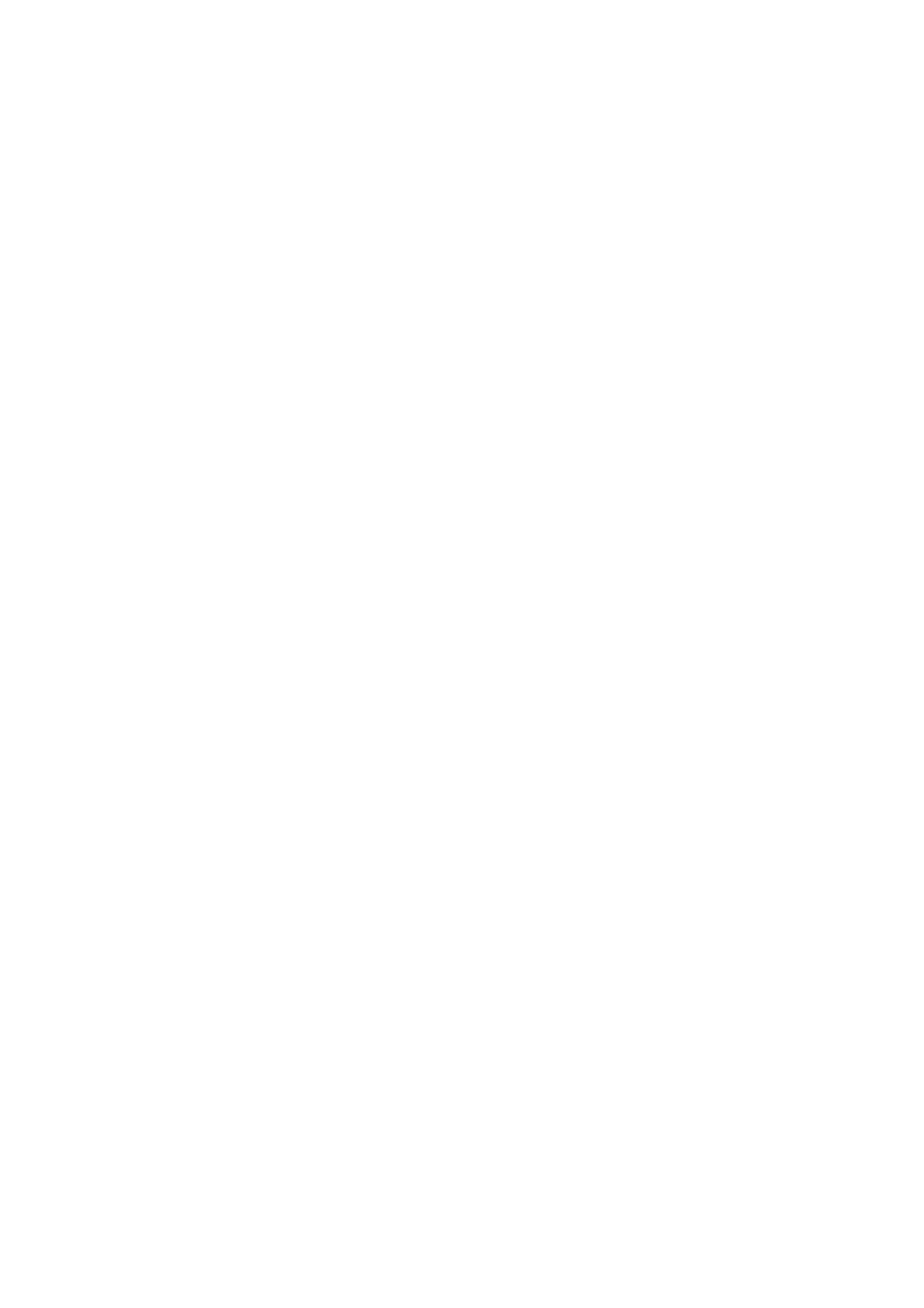

# **UNIT-1 MEANING, DEFINITION AND CHARACTERISTICS OF HYPOTHESIS**

#### **Structure**

- 1.2 Learning Objectives
- 1.3 Meaning of Hypothesis
- 1.4 Definition of Hypothesis
- 1.5 Characteristics of Hypothesis
- 1.6 Qualities of a Good Hypothesis
- 1.7 Significance and Importance of Hypothesis
- 1.8 Let Us Sum Up
- 1.9 Model Questions
- 1.10 Suggested Readings

## **1.1 INTRODUCTION**

In social research, each researcher is to start with certain assumptions and presumptions, which the researcher's study might subsequently prove and disprove. In fact, it is the hypothesis that the researcher's research revolves around and for which data is gathered. Of course, there are obstacles in formulating a hypothesis, and a hypothesis can be derived from a variety of sources. However, in social research, it serves a specific purpose. It is very useful. It is also very significant. There is always a line of confusion among readers relating to the fundamental meaning of proposition, theory and hypothesis. It is, therefore, very essential to make a fundamental conceptual clarification with regards to these three. Thus, before describing the conceptual understanding of hypothesis, it is important to understand the difference between proposition, theory and hypothesis. A proposition basically refers to a statement about the relationships among concepts or variables. In fact, it is a generalized statement of a relationship among facts or about one or more facts or phenomena. A theory is set of assumptions. It's a set of internal propositions that explain how certain observed occurrences appear to be related. A hypothesis is a proposition that can be tested empirically. It is, in reality, a testable hypothesis that predicts a particular relationship between two or more variables. In the words of Ram Ahuja, "a hypothesis is an assumption about relations between variables. It is a tentative explanation of the research problem or a guess about the research outcome". Hypothesis basically provides guidance to the researcher. It can be argued that while in qualitative research, hypotheses emerge out of the research, in quantitative research, hypothesis acts as a step towards research.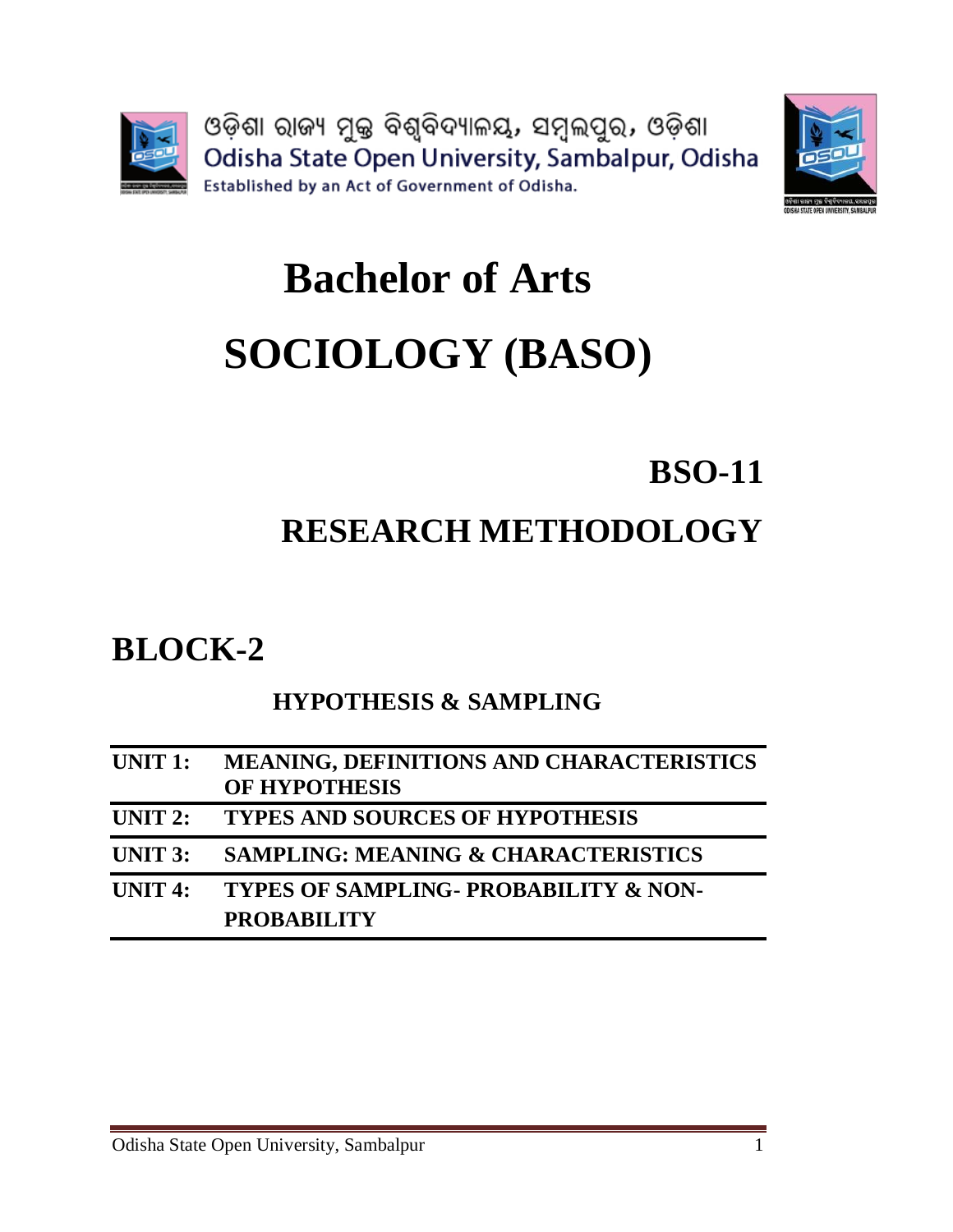

With this introduction, this unit broadly deals with the conceptual understanding of hypothesis. While doing so, this unit describes the meaning, definition and characteristics of hypothesis.

## **1.2 LEARNING OBJECTIVES**

The purpose of this unit is to provide you with an understanding of hypothesis with specific reference to its meaning, definition and characteristics. It also provides some of the qualities of a good hypothesis. The chapter also mentions about the significance as well as importance of hypothesis. Thus, after reading this unit, the reader should be able to understand:

- meaning of hypothesis
- definition of hypothesis
- characteristics of hypothesis
- Qualities of a good hypothesis
- significance and importance of hypothesis

## **1.3 MEANING OF HYPOTHESIS**

In most cases, hypothesis is regarded as an important element in research. It is broadly a tentative statement about the relationship between two or more variables. In fact, a research hypothesis is relatively often a predictive statement, which is capable of being tested using scientific methods that involve an independent and some dependent variables. It is a specific, testable prediction about what you expect to happen in a study. A hypothesis is a speculative assumption that is developed with the goal of proving or disproving its logical or empirical implications. Etymologically, hypothesis is made up of two terms, "hypo" and "thesis," which mean "less than or less certain than a thesis". It's a statement of a thesis or a plausible assumption based on evidence that the researcher is aiming to prove through his research. A hypothesis is a plausible explanation that will be investigated further. A hypothesis may appear to be contradictory to reality. It may or may not turn out to be correct. Hypotheses must be exact and explicit, and they must be able to be tested. It must have a limited scope, be consistent with known or established facts, and be testable within the time range indicated. It should explain what it purports to explain and back up its claims with evidence.

A researcher's hypotheses are purposefully constructed since it is difficult to begin study without a solid foundation. As a result, the researcher establishes logical connections between or among the research variables. The associations between these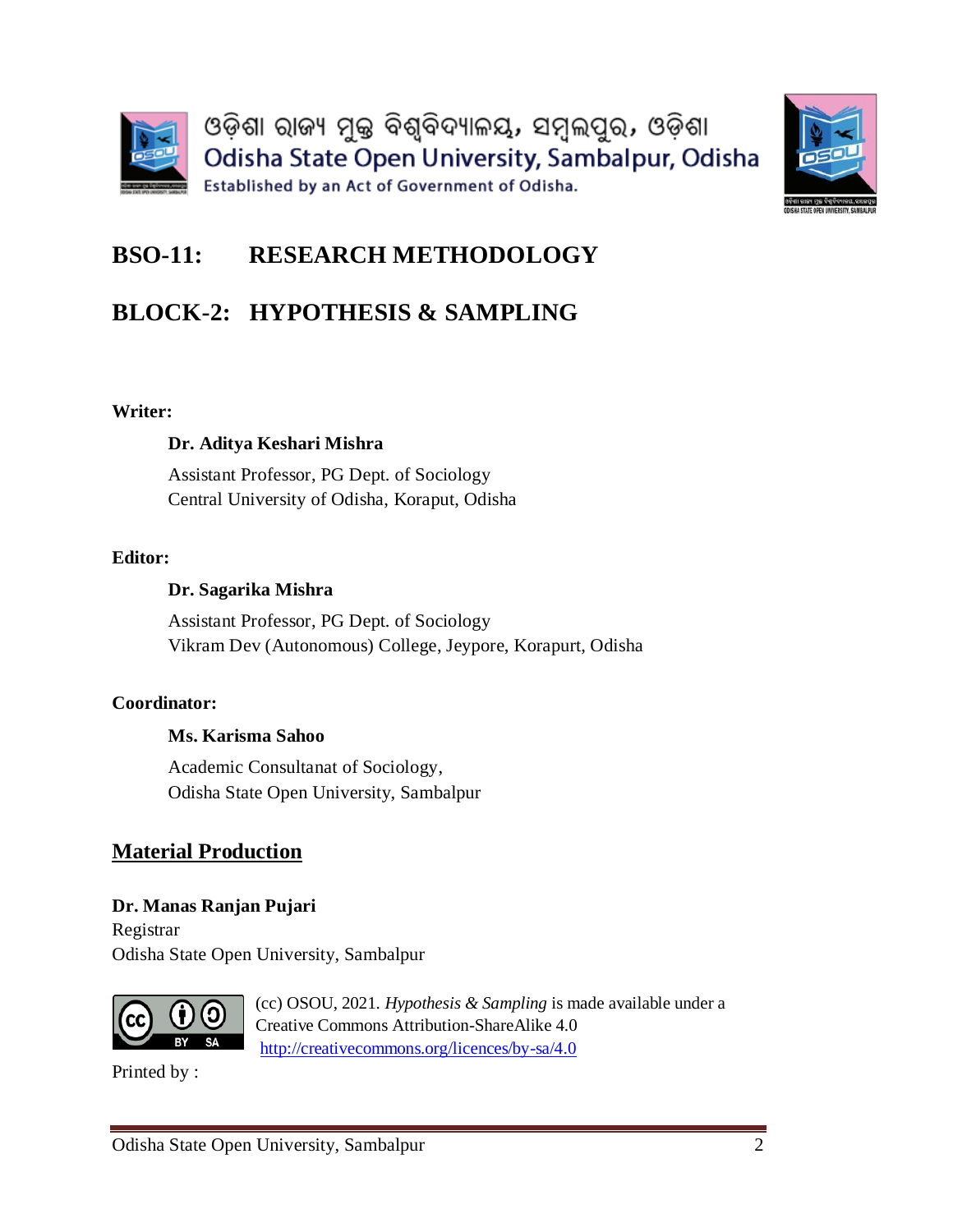

variables serve as a basis for the research because they are related to the research issue. These logical relationships or testable assumptions point the researcher in the right path to begin working on the research project. For example, a researcher researching "Discrimination Against Women in a Rural Society" might develop the following hypotheses: (i) the higher the illiteracy in society, the higher the discrimination against women; (ii) the higher patriarchy in society, the higher the discrimination against women; and (iii) the higher traditional practices in a society, the higher the discrimination against women.

In most cases, the hypothesis is thought to be the most important tool in research. A research hypothesis is frequently a prognostic statement that can be tested using scientific methods involving an independent and dependent variable. Based on a conjecture statement, a hypothesis is a statement of the relationship between two or more variables (Kerlinger, 2002). A hypothesis can be defined as a testable statement about a possible link between two or more values (McGuigan, 1998). It is a question posed to nature to be observations, and it is a presumption that serves as a tentative explanation for a researcher (Calpine, 1975). Any statement, proposition, or assumption that serves as a tentative explanation of specific facts is referred to as a hypothesis (Rebar & Rebar, 2001).

## **1.4 DEFINITION OF HYPOTHESIS**

There are various definitions for the term hypothesis. In fact, several scholars have defined hypothesis in different ways. Some important definitions of hypothesis have been mentioned below:

George A Lumberg has defined the hypothesis as "a tentative generalization, the validity of which remains to be tested. In its most elementary stage, the hypothesis may be a guess, imaginative ideas, which become the basis for action or investigation".

According to Goode and Halt, "the formulation of a deduction however constitutes a hypothesis. If verified it becomes a part of theoretical construction".

According to Theodorson and Theodorson, "a hypothesis is a tentative statement asserting a relationship between certain facts".

According to Webster, "a hypothesis is a proposition, condition or principle which is assumed, perhaps without belief, in order to draw out its logical consequences and by this method to test its accord with facts which are known or may be determined".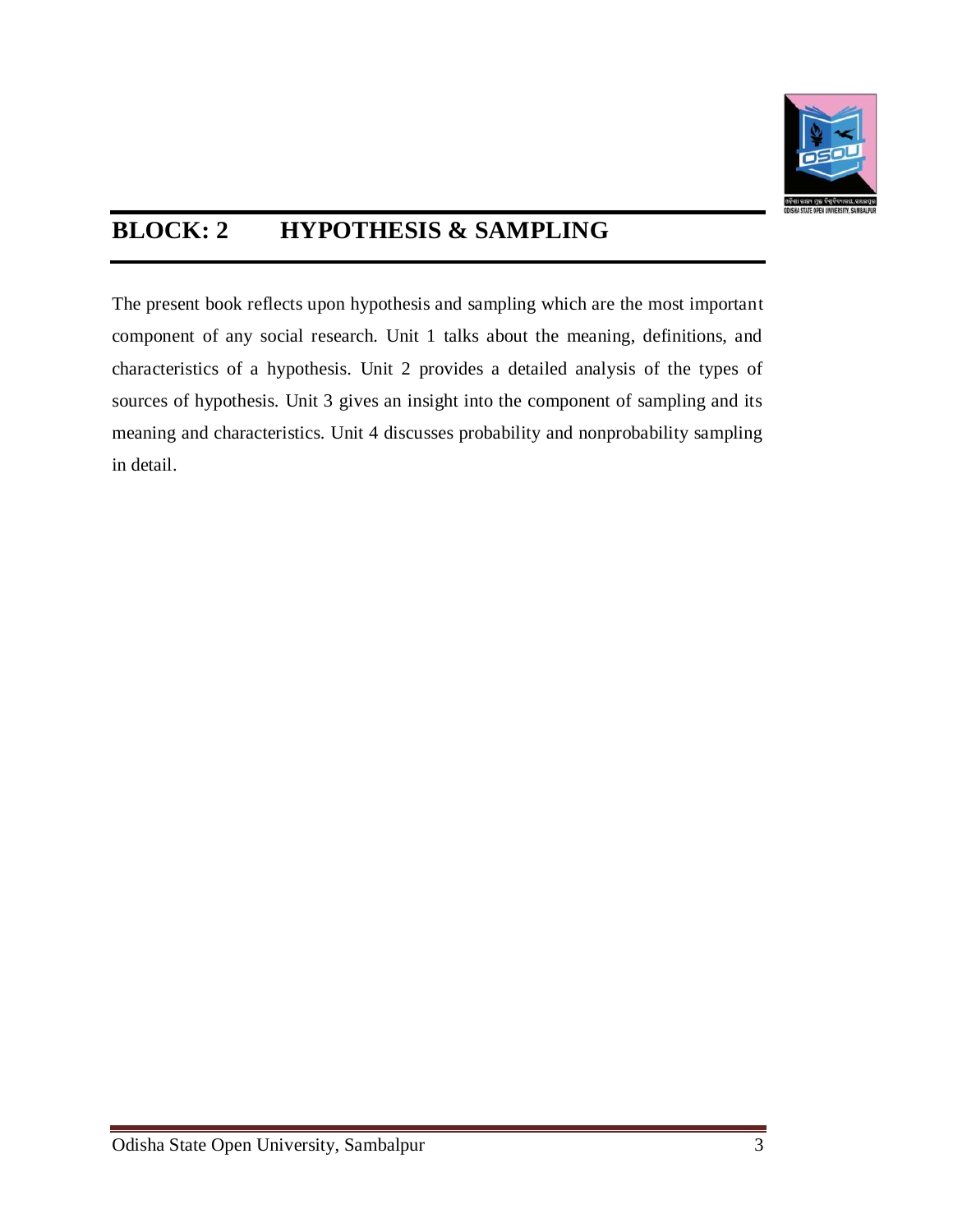

According to James E. Greighton, hypothesis is a "tentative supposition or provisional guess which seems to explain the situation under observation".

According to John W. Best, "it is a shrewd guess or inference that is formulated and provisionally adopted to explain observed facts or conditions and to guide in further investigation".

George, J. Mouly defines that, "hypothesis is an assumption or proposition whose testability is to be tested on the basis of the computability of its implications with empirical evidence with previous knowledge".

According to Mcguigan (1990), hypothesis is "a testable statement of a potential relationship between two or more variables, i.e. advance as potential solution to the problem".

Kerlinger (1973) has defined the hypothesis as "a conjectural statement of the relation between two or more variables".

According to Kothari (1988), "hypothesis may be defined as a proposition or a set of propositions set forth as an explanation for the occurrence of some specified group of phenomena either asserted merely as a provisional conjecture to guide some investigation in the light of established facts".

As mentioned in above definitions, a hypothesis is a tentative answer or explanation, a guess or assumption, a proposal or a statement to the researcher's problem, based on a superficial observation of known and available data as a basis of investigation, whose validity needs to be checked or verified. The hypothesis must be written in such a way that it can be empirically tested in order to be valuable in any investigation. It is the researcher's responsibility to suggest or devise a method for testing the hypothesis against empirical facts. When a hypothesis is formulated, the investigator must decide whether the hypothesis is useful. A good research hypothesis must meet a number of criteria or qualities, which have been mentioned in the following sections. A good hypothesis is one that fits most of these criteria.

## **1.5 CHARACTERISTICS OF HYPOTHESIS**

As previously stated, a hypothesis is a statement in a study that the study may prove or deny. A hypothesis aids a researcher in moving forward and identifying a solution to the problem he wants to investigate. Without hypothesis, it will be very difficult to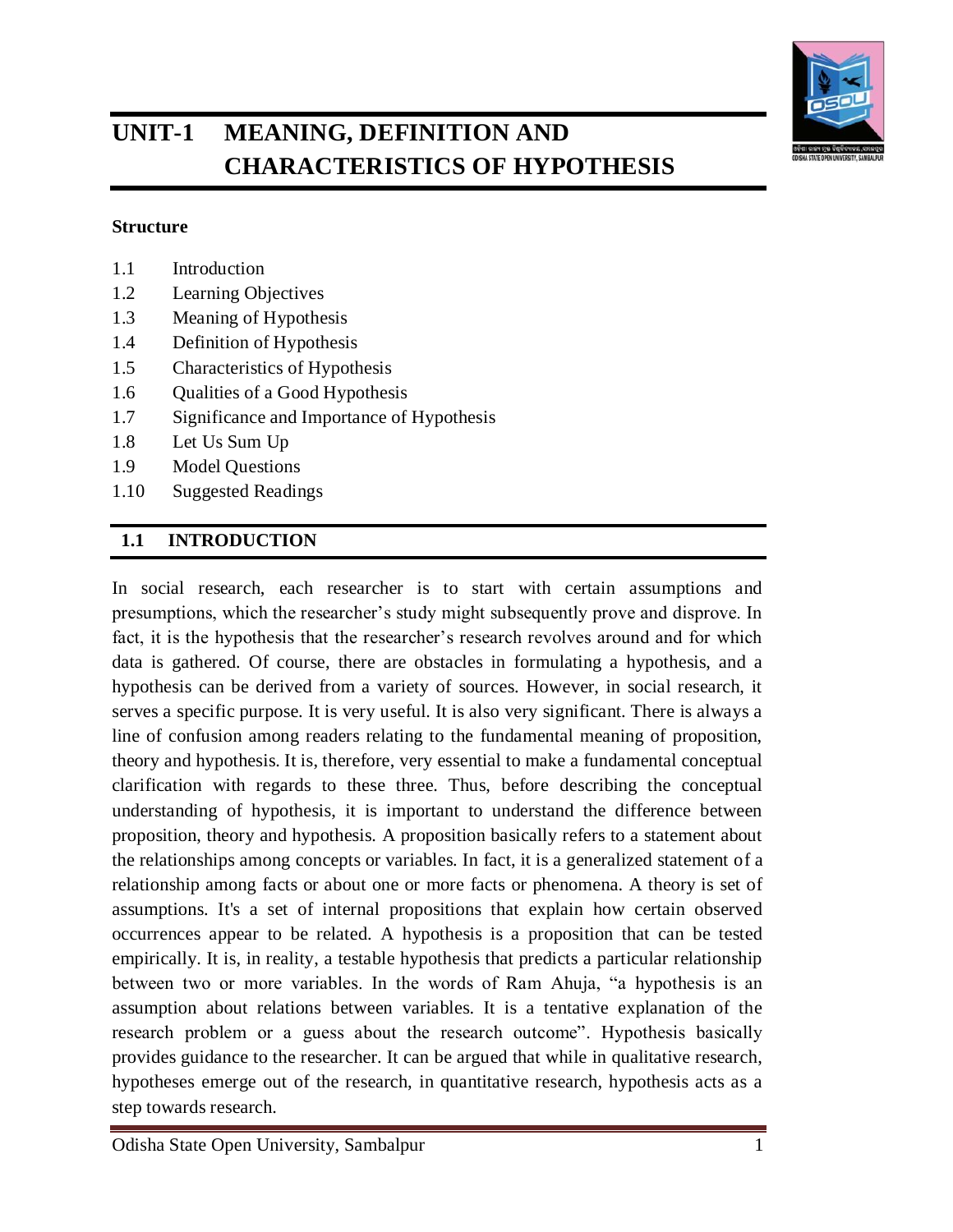

move ahead. It is only with clear hypothesis that one can properly know about the scope of the study, nature of data to be collected and the one to be discarded. Again the hypothesis helps in organizing data collected in a very systematic way. A hypothesis provides a tentative solution to the question of how and why. In a scientific enquiry no step further can be taken unless and until there are well established hypothesis. It must however, be clearly remembered and understood that there can be no readymade hypothesis, but in social science research there is no well developed theoretical system in many subjects and in many areas of study. Thus, in social science research hypothesis will first have to be developed and thereafter tested. More stress in social sciences is to be laid on formulating rather than testing of hypothesis. In social science research, hypothesis can be both beginning, joint as well as end result of research. Needless to mention that hypothesis occupy a very useful and important place in research. Without proper hypothesis much of the unimportant data might be collected and considerably useful data might be omitted. Thus, hypothesis, in some form or the other is not only essential but unavoidable. Taking into account the unavoidable character of hypothesis in social science research, the following are some of the most important characteristics of a hypothesis:

- i. It is purely conceptual. In a hypothesis, there are some conceptual elements in the framework that are involved.
- ii. It is a definitive statement made verbally. It is an academic articulation of thoughts and concepts; it is not only an idea, but the notion is ready for empirical proof in its verbal form.
- iii. The empirical referent is present. An empirical referent is included in a hypothesis. It denotes a shaky connection between two or more variables.
- iv. It contains a reference to the future. A hypothesis is focused on the future. It has to do with future verification rather than past facts and data.
- v. It is the centre of a scientific investigation. All of the scientific endeavours are geared at confirming it.

## **1.6 QUALITIES OF A GOOD HYPOTHESIS**

The following are the main qualities of a good hypothesis:

**(a)** A hypothesis must be able to be tested. Many times, research programmes have become bogged down in a swamp of untestable hypotheses. The researcher may conduct some preliminary research in order to make the idea testable. A hypothesis is testable if it can lead to additional deductions, which may then be validated or refuted by observation. A good hypothesis is one that agrees with the facts.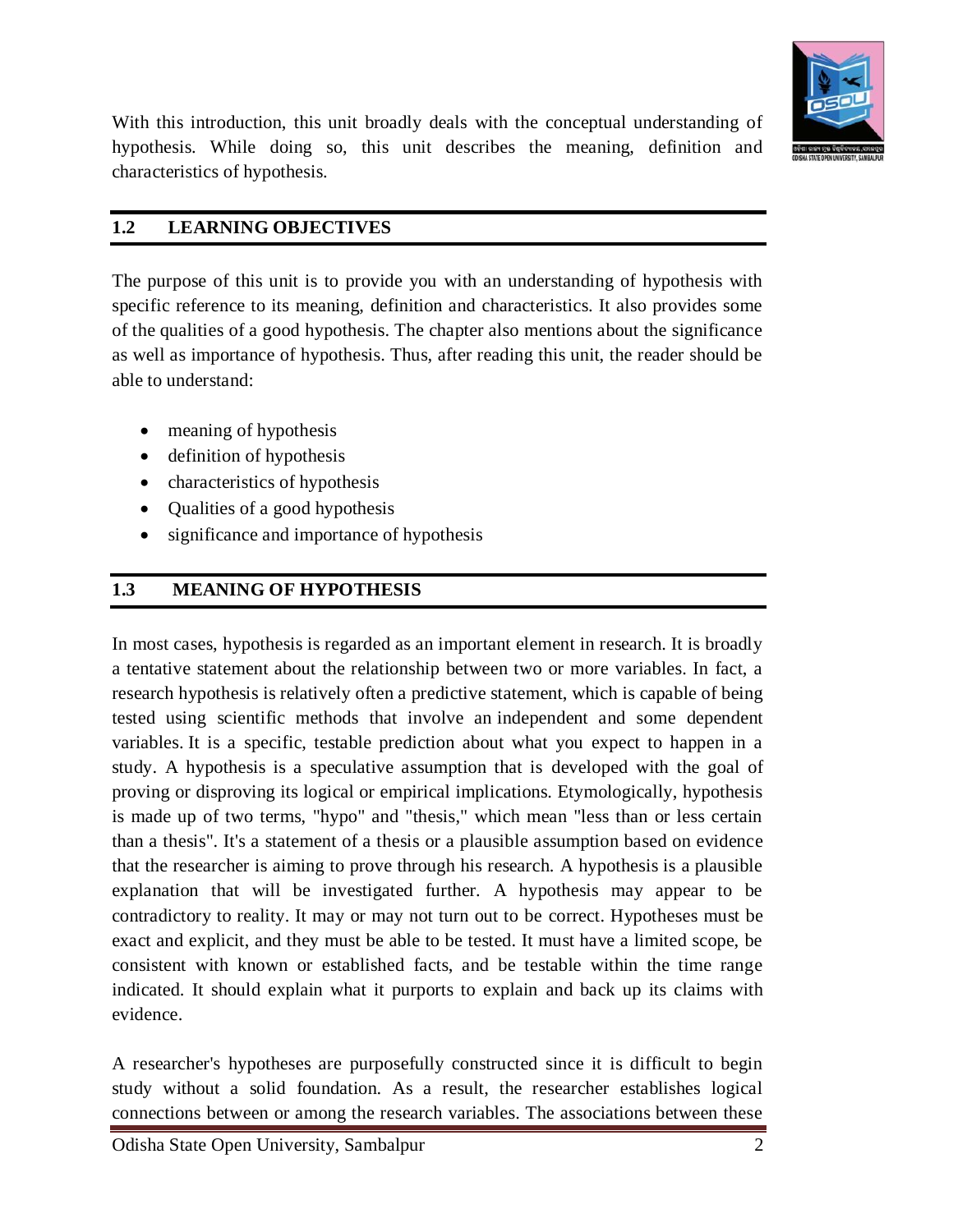

- **(b)** A good hypothesis is one that does not contradict any recognized natural law.
- **(c)** The hypothesis should be explicit and clear. If the hypothesis isn't clear and exact, the conclusions formed from it can't be trusted. A good hypothesis is stated in the most straightforward manner feasible.
- **(d)** A sound hypothesis allows for deductive reasoning to be used.
- **(e)** The verbalization of a good hypothesis is quite obvious. It differs from what is commonly referred to as a hunch. The hypothesis should be stated in a basic manner as far possible so that everyone involved can understand it. However, it is important to realize that the simplicity of a hypothesis has nothing to do with its importance.
- **(f)** A good hypothesis ensures that the investigator has control over the verification procedures.
- **(g)** A sound hypothesis ensures that available tools and procedures will be put to good use in the verification process.
- **(h)** Hypotheses should be specific and limited in scope. A researcher must keep in mind that narrower hypotheses are more testable, and the researcher should develop them. A good hypothesis takes into account the many sorts of controls that will be used to verify the hypothesis.
- **(i)** A good hypothesis ensures that the sample can be approached quickly. If the hypothesis is a relational hypothesis, it should state the relationship between the variables.
- **(j)** A good hypothesis clarifies the role of the many factors in the research.
- **(k)** A good hypothesis makes a clear difference between what are known as theoretical laws, facts, assumptions, and postulates.
- **(l)** Hypothesis must be consistent with the majority of known facts, i.e., with a large body of established facts.
- **(m)**Hypothesis should be testable in a fair amount of time. Even the best hypothesis should not be used if it cannot be tested in a reasonable amount of time, because one cannot spend a lifetime collecting evidence to test it.
- **(n)** Hypothesis must explain the facts that led to the demand for clarification. This means that by combining the hypothesis with other well-known and accepted generalisations, the original problem condition should be deduced. As a result,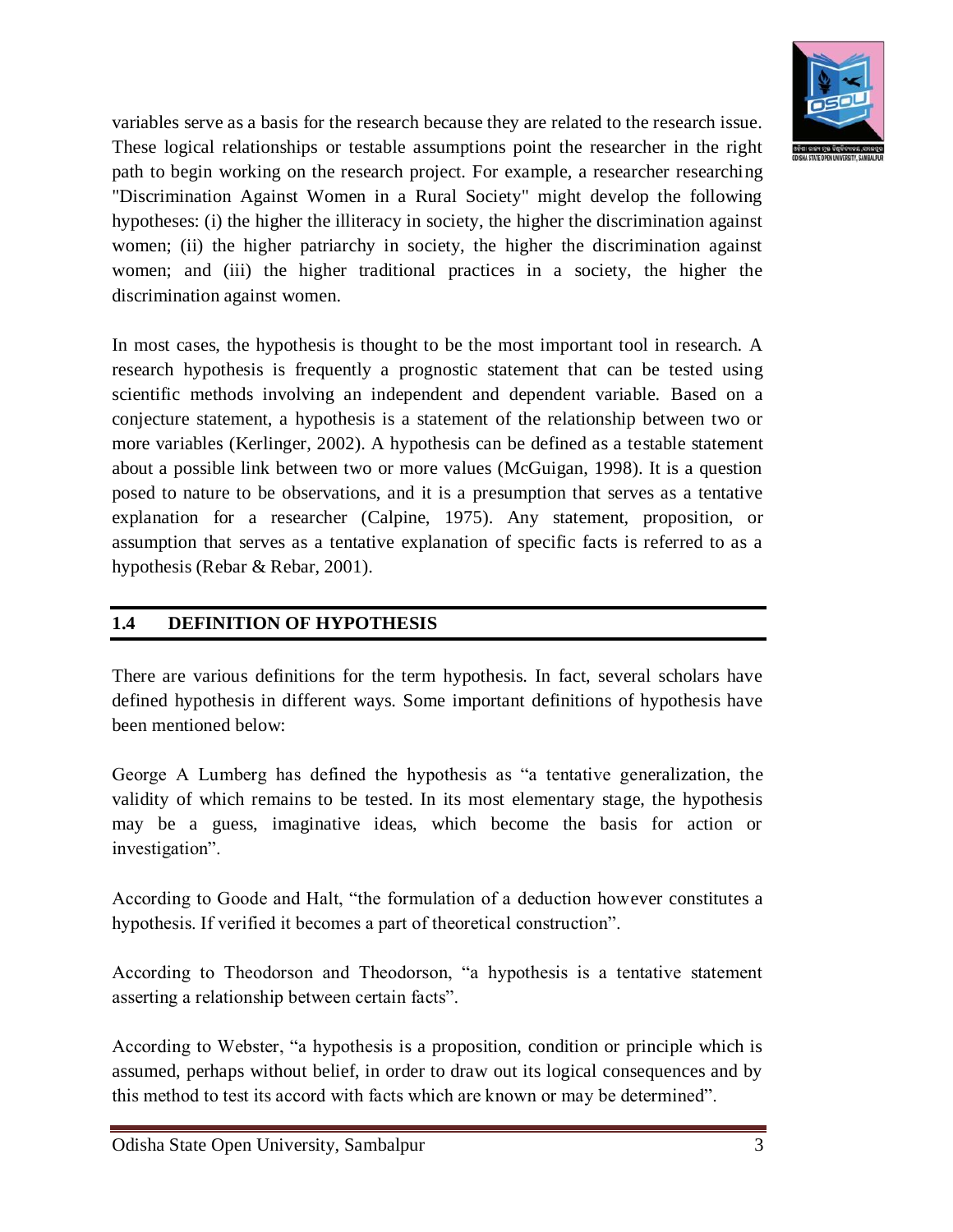

a hypothesis must truly explain what it claims to explain, and it must be supported by empirical evidence.

#### **1.7 SIGNIFICANCE AND IMPORTANCE OF HYPOTHESIS**

Although hypotheses are an important aspect of research; they are not required in all sorts of studies. Hypotheses are not required in research that is based on fact gathering (historical or descriptive study). "When fact-finding alone is the aim of the study, a hypothesis is not required," Hillway adds. All important investigations should, whenever possible, include a hypothesis to explain observable facts, situations, or behaviour and to serve as a guide during the research process. Thus, some of the significant and important aspects of hypothesis have been mentioned below:

- Hypothesis facilitates in the expansion of knowledge in a particular field. They can examine and validated and provide tentative explanations for facts and occurrences. It makes the investigator more aware of particular features of the situations that are pertinent to the topic at hand.
- Hypotheses provide rational statements to the researcher, consisting of items articulated in a logical order of relationships, that attempt to describe or explain conditions or events that have yet to be validated by facts. The hypothesis allows the researcher to connect rationally known data to sophisticated guesses about unknown circumstances. It's a handbook for the thinking and discovering processes.
- The research is guided by the hypothesis. It establishes what is relevant and what is not. The hypothesis instructs the researcher on what he should accomplish and learn during his research. As a result, it prevents the examination of irrelevant material and serves as a foundation for selecting the sample and research procedure for the study.
- The statistical methodologies required in data analysis, as well as the link between the variables to be investigated, are referred to as hypotheses. It also aids in limiting the scope of his research so that it does not become too vast or burdensome.
- The hypothesis serves as the foundation for describing the study's findings. It acts as a foundation for drawing conclusions. To put it another way, it lays out the framework for reaching significant conclusions.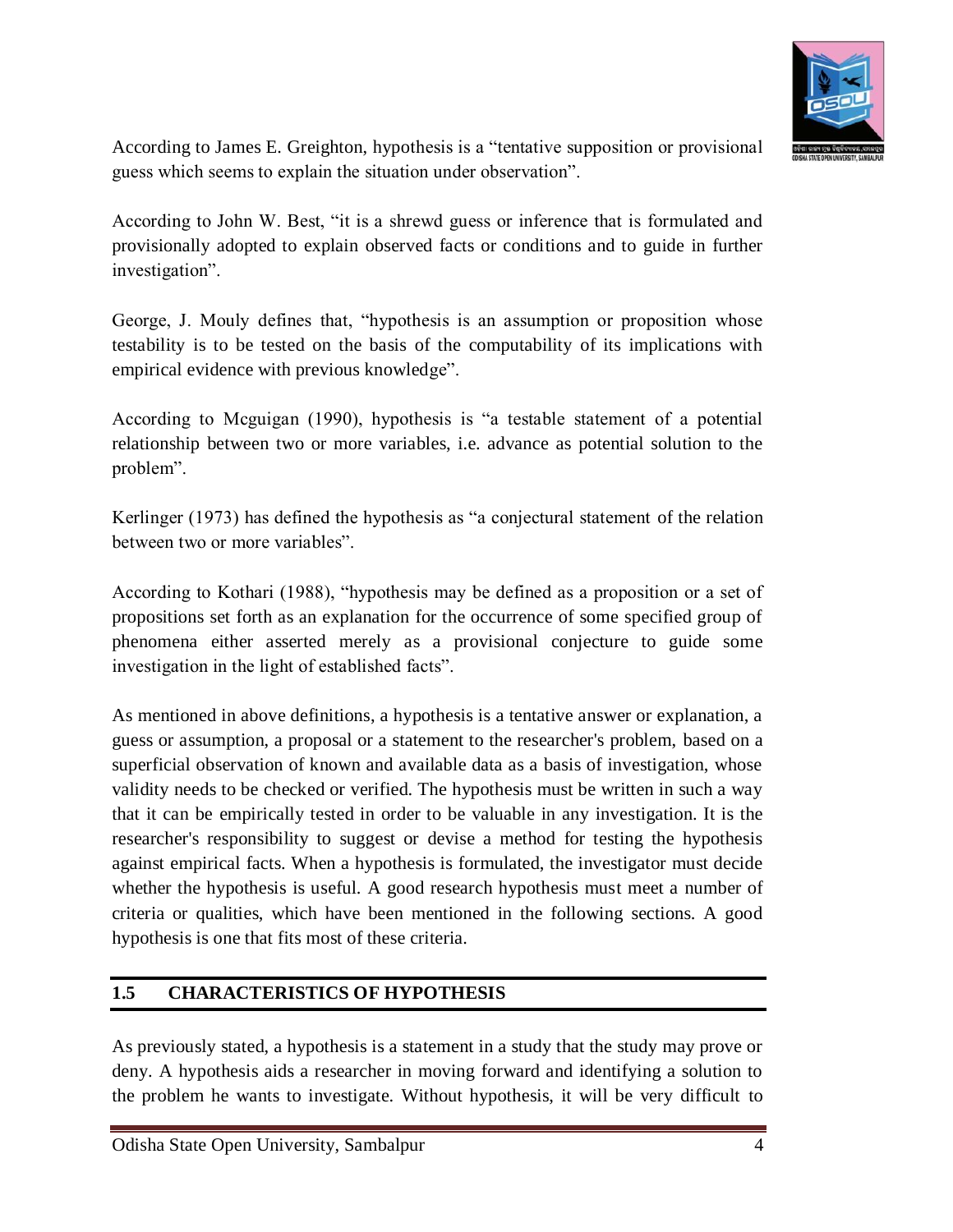## **1.8 LET US SUM UP**



A hypothesis is a tentative solution or educated assumption regarding a research subject under investigation. It's not just a guess; it's based on previous study, in which the researcher assembles data to support a postulated relationship between variables. As a result, it is a conjecture statement regarding a problem's solution that the researcher then verifies using relevant data. Various sources, such as experience, creativity, background information, scientific ideas, and so on, are significant factors that aid in the formulation of a hypothesis.

Following the formulation of the hypothesis, it is put to the test. Some theories are straightforward and may be tested immediately. However, in most cases, they are complex and cannot be thoroughly tested. They're put to the test in terms of the conclusions they've drawn. A good hypothesis is one that can be tested and expresses the predicted relationship among variables. It is stated simply and precisely. The expected link between the variables should be stated in a good hypothesis. It has a limited scope and should adhere to the most widely accepted facts.

As a result, the hypothesis serves as the study's central axis. The entire investigation will be out of focus without a well-formulated hypothesis, making it difficult to make suitable conclusions. In fact, hypothesis serves as a vital link between theory and investigation, resulting in the addition of new knowledge to the body of knowledge. The greatest advantage is that hypothesis not only guide in goals of research but help in concentrating on the important aspects of the research topic by avoiding less significant issues.

## **1.9 MODEL QUESTIONS**

Some of the questions for practice have been mentioned in the following sections.

#### **Long Answer Questions**

- Define hypothesis. Explain features of hypothesis.
- What is hypothesis? Discuss features of a good hypothesis.
- Discuss the significance and importance of hypothesis in social research.

#### **Short Answer Questions**

- Meaning of hypothesis
- Define hypothesis.
- Characterize hypothesis.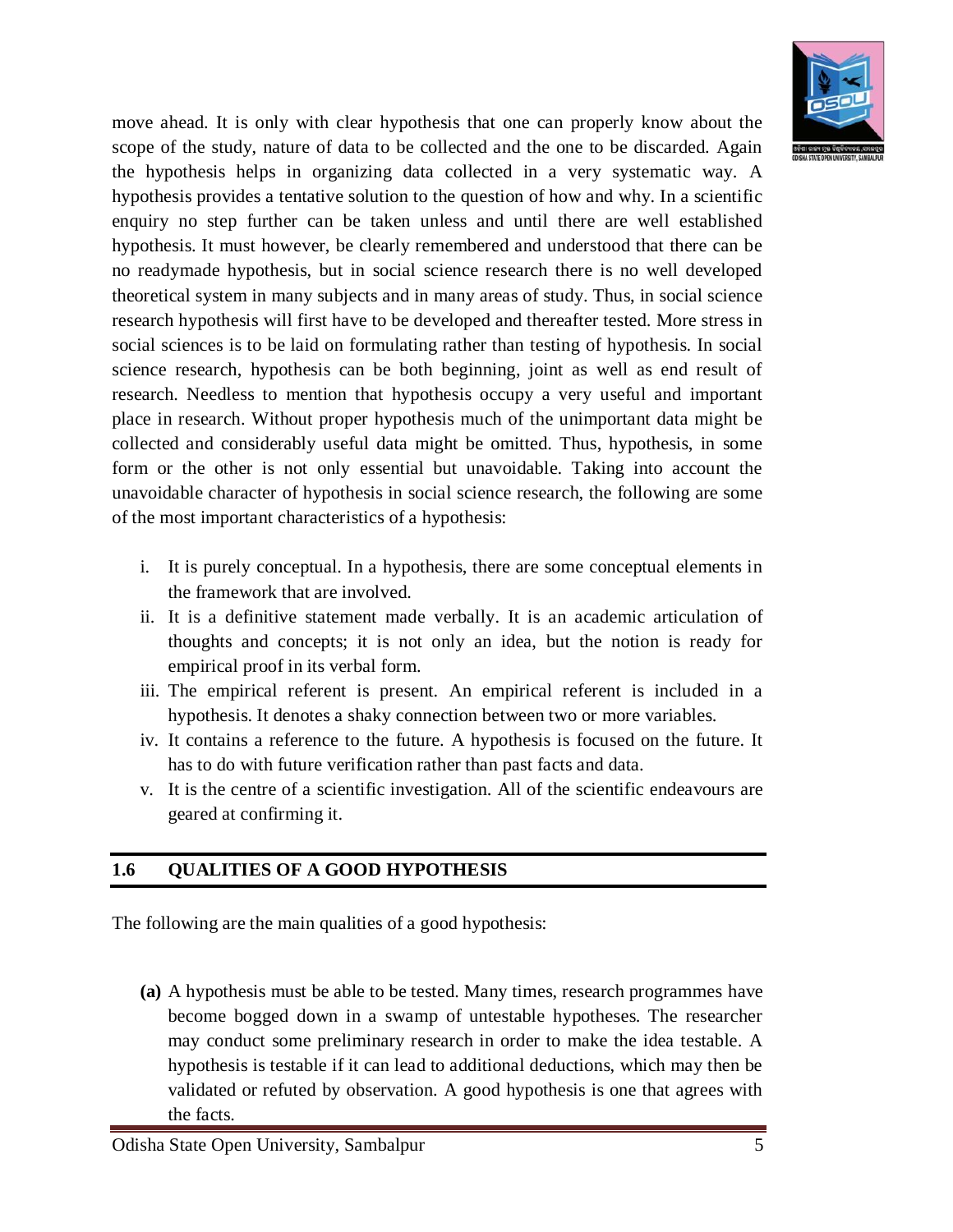- Qualities of good hypothesis.
- Importance of hypothesis.



## **1.10 SUGGESTED READINGS**

- Ary, D., Jacobs, L. C., Razavieh, A. and Sorensen, C. K. (1972). *Introduction to Research in Education*. New York: Holt, Rinehart and Winstion, Inc.
- Best, J.W. and Kahn, J. V. (1992). *Research in Education*. New Delhi: Prentice Hall of India Pvt. Ltd.
- Chandra, S. S. and Sharma, R. K. (2004). *Research in Education*. New Delhi: Atlantic Publishers and Distributors.
- Kerlinger, F.N. (1993). *Foundations of Behavioural Research: Educational and Psychological Inquiry*. New York: Holt, Rinehart & Winston.
- Khan, M. S. (2008). *Educational Research*. New Delhi: APH Publishing Corporation.
- Koul, L. (1997). *Methodology of Educational Research*. New Delhi: Vikas Publishing House Pvt. Ltd.
- Mouly, G. J. (1963). *The Science of Educational Research*. New Delhi: Eurasia Publishing House.
- Punch, K. F. and Oancea, A. (2014). *Introduction to Research Methods in Education*. London: Sage Publications.
- Siegel, S. (1956). *Non-parametric Statistics for the Behavioural Sciences*. Tokyo: McGraw-Hill Ltd.
- Travers, R. W. (1969). *An Introduction to Educational Research*. New York: Macmillan Co.
- Van Dalen, V. (1973). *Understanding Educational Research*. New York: McGraw Hill Book.
- Wiersma, W. (1986). *Research Methods in Education: An Introduction*. Boston: Allyn and Bacon.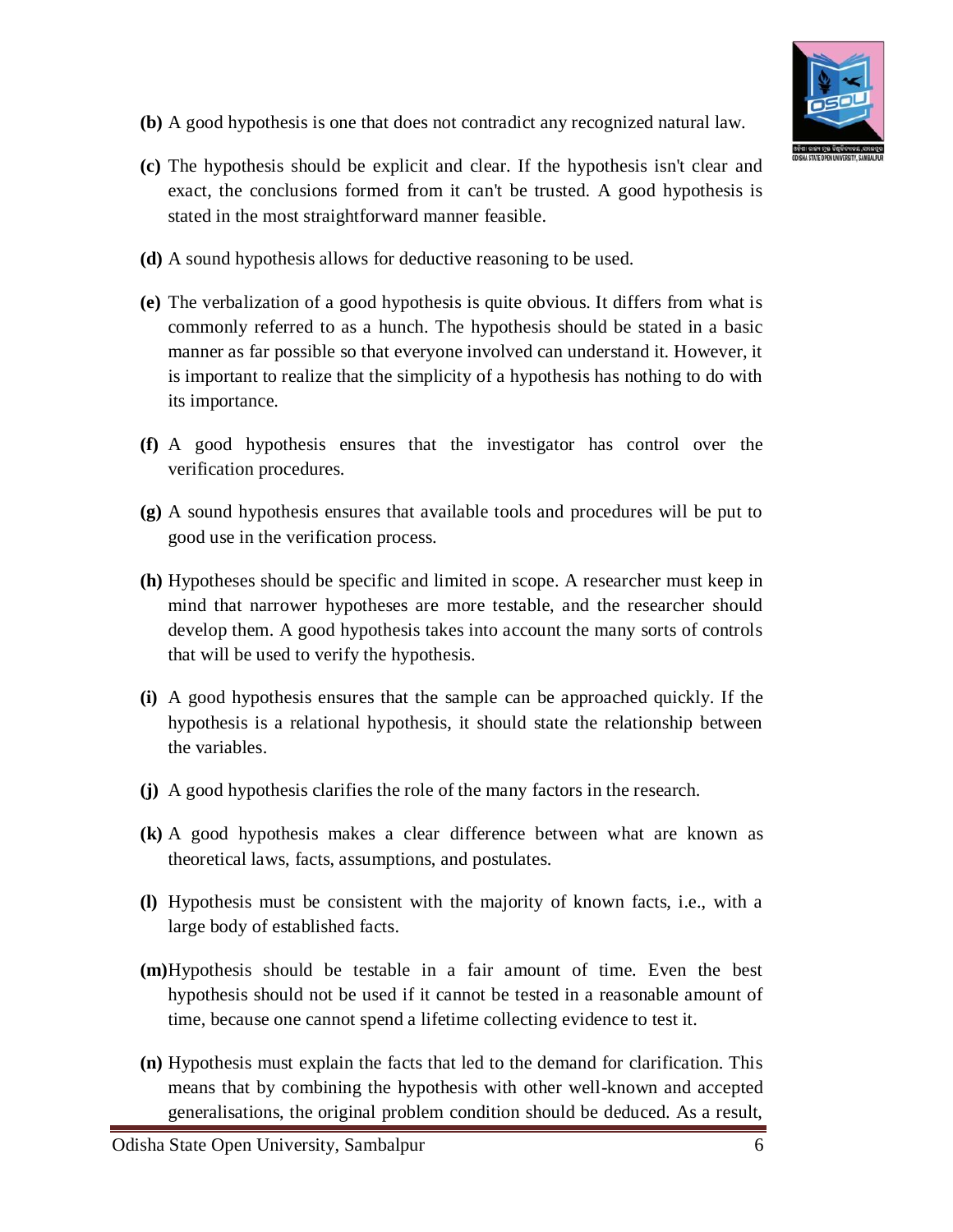

# **UNIT-2 TYPES OF AND SOURCE OF HYPOTHESIS**

#### **Structure**

- 2.1 Introduction
- 2.2 Learning Objectives
- 2.3 Criteria of Good Hypothesis
- 2.4 Types of Hypothesis
	- 2.4.1 Simple Hypothesis
	- 2.4.2 Complex Hypothesis
	- 2.4.3 Working or Research Hypothesis
	- 2.4.4 Null Hypothesis
	- 2.4.5 Alternative Hypothesis
	- 2.4.6 Logical Hypothesis
	- 2.4.7 Statistical Hypothesis
- 2.5 Sources of Hypothesis
	- 2.5.1 Previous Study
	- 2.5.2 Culture
	- 2.5.3 Scientific Theory
	- 2.5.4 Analogies
	- 2.5.5 Personal and Idiosyncratic Experiences
	- 2.5.6 Folk Wisdom
- 2.6 Let Us Sum Up
- 2.7 Model Questions
- 2.8 Suggested Readings

## **2.1 INTRODUCTION**

A hypothesis is an assumption made after careful consideration of the facts. The translation of the research questions into a forecast is the initial step in every investigation. Variables, population, and their relationships are all included. A research hypothesis is a hypothesis that is evaluated to discover if there is a relationship between two or more variables. A hypothesis is a purely hypothetical assertion about the relationship between two or more variables. This can be used as a jumping off point for additional research into the idea using the scientific method. The variable in this case could be either an independent or a dependent variable. An independent variable exists independently of other variables and is unaffected by them. Other factors influence the dependent variable. An independent variable is the presumed cause of the dependent variable, the presumed effect. The independent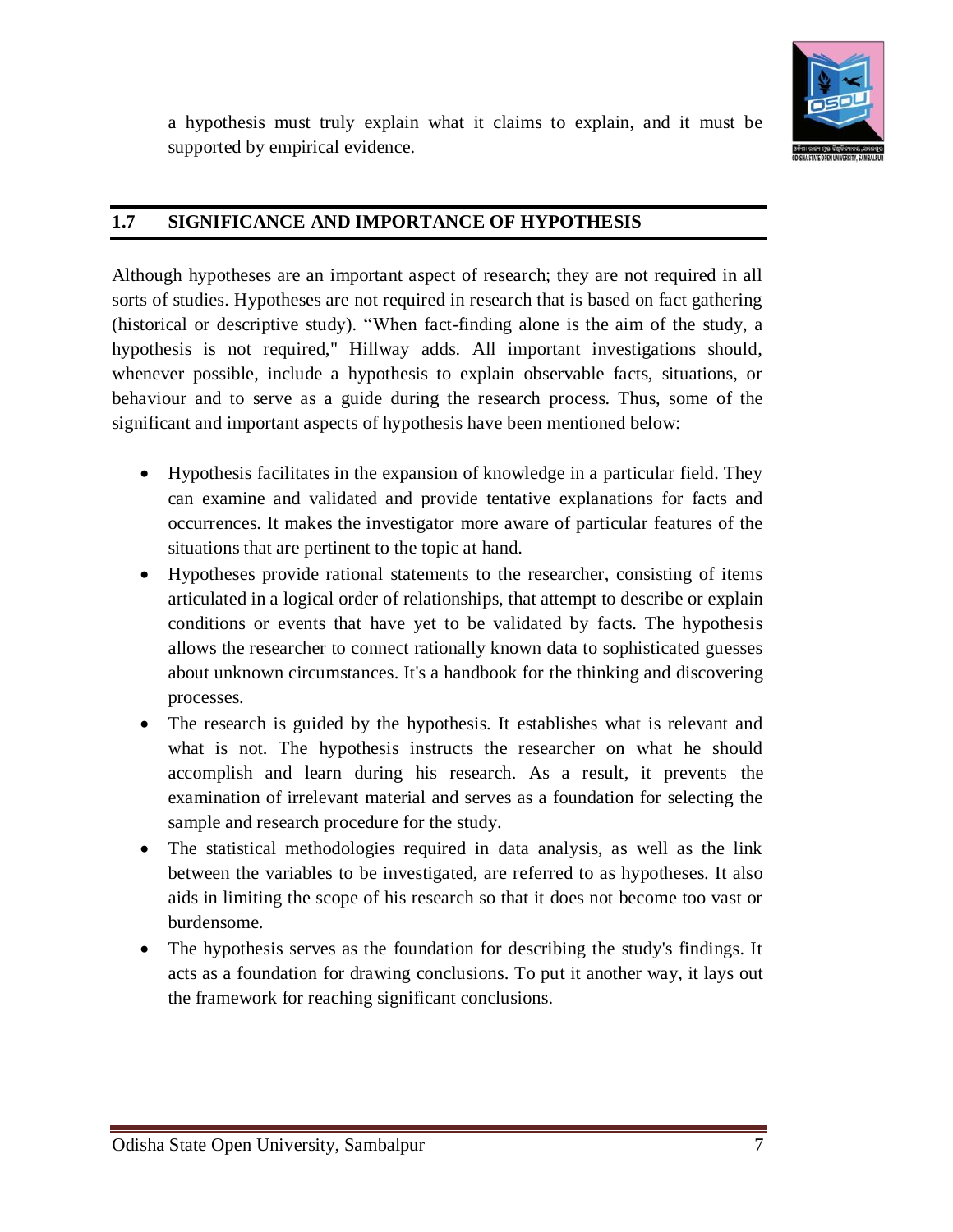

variable is one which explains or accounts for variations in the dependent variable. A dependent variable is one which changes in relationship to changes in another variable. It's a specific, testable hypothesis about what you think will happen in a study. A hypothesis can be designed to investigate a study entitled "sleep-deprived persons will do worse on a test than individuals who are not sleep-deprived". This, for example, might be the hypothesis for a study looking into the relationship between sleep deprivation and test performance.

The term hypothesis, in its most basic sense, refers to a preliminary assertion of a link between two or more facts. It's a hypothesis about the link between two or more variables. According to J.S. Mill, hypothesis refers to "any supposition which we make in order to endeavour to deduce conclusions in accordance with facts which are known to be real under the idea that if the conclusions to which the hypothesis leads are known truths, the hypothesis itself either must be or at least likely to be true". According to Barr and Scates, "a hypothesis is a statement temporarily accepted as true in the light of what is, at the time, known about a phenomenon, and it is employed as a basis for action in the search for new, truth, when the hypothesis is fully established, it may take the form of facts, principles and theories". According to John W Best, "it is a shrewd guess or inference that is formulated and provisionally adopted to explain observed facts or conditions and to guide in further investigation". As a result, a hypothesis can be thought of as a formal statement of the relationship between two or more variables.

## **2.2 LEARNING OBJECTIVES**

The purpose of this unit is to provide you with an understanding of hypothesis with specific reference to its types and sources. It also provides some of the basic criteria of a good hypothesis. Thus, after reading this unit, the reader should be able to understand:

- Meaning of hypothesis
- Criteria of a good hypothesis
- Types of hypothesis
- Sources of hypothesis

## **2.3 CRITERIA OF A GOOD HYPOTHESIS**

In social research, a hypothesis is used to explain a phenomenon or forecast a relationship among variables. A hypothesis must, in general, meet four evaluation criteria (Allen, 2017). First, an expected relationship between variables must be stated.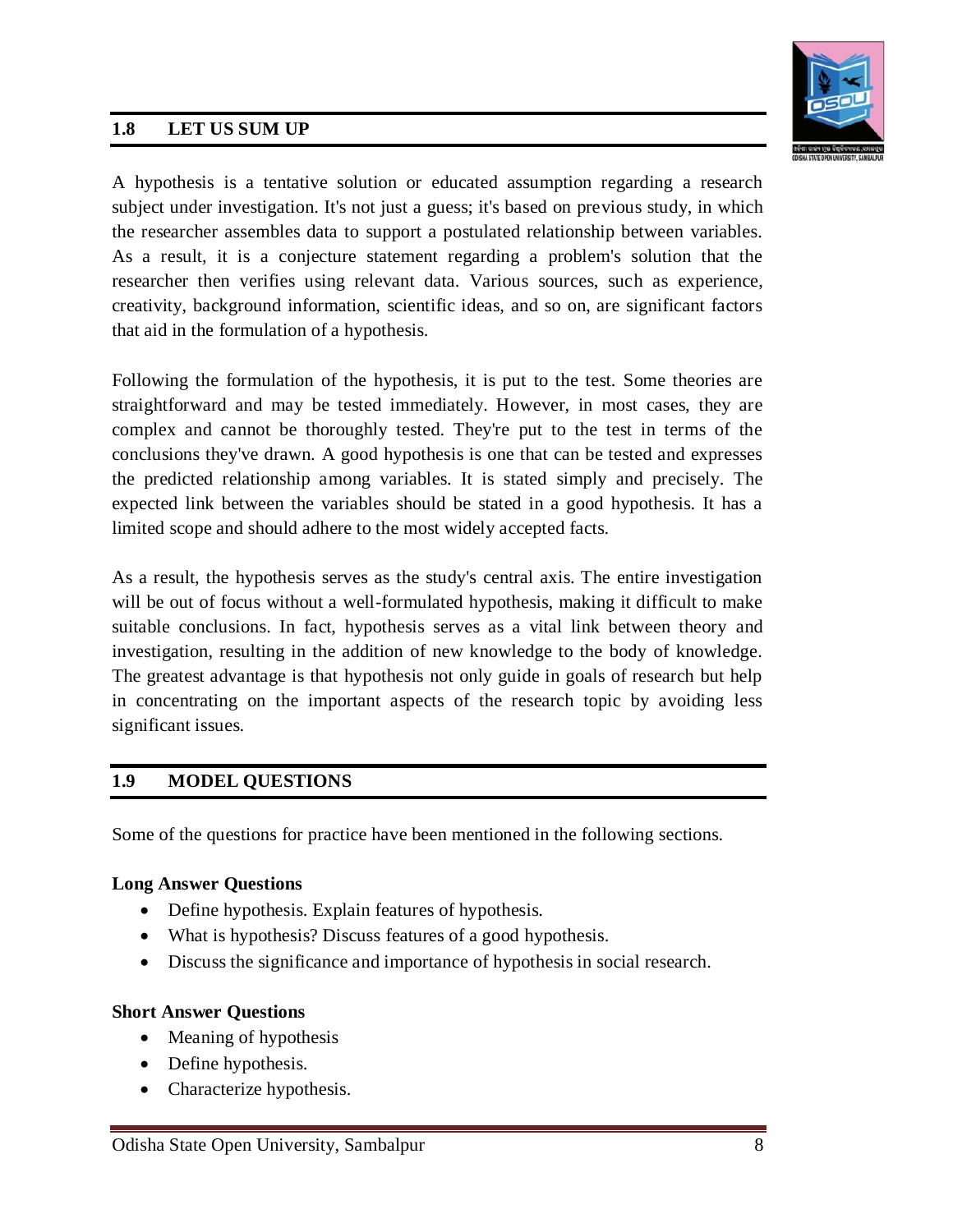

Second, it must be testable and falsifiable, which means that researchers must be able to determine whether a hypothesis is true/correct or false/incorrect. Third, it should be in accordance with existing stock of knowledge. Finally, it should be conveyed in the most straightforward and concise manner possible. The dominant criteria of good hypothesis are mentioned below:

- i. **Hypothesis should be testable:** The formulated hypothesis should be testable. It is clear by the statement mentioned by McGuigan (1990), "If it is possible to determine that the hypothesis, stated as a proposition, is true or false, then the hypothesis is testable. If it is not possible to determine that the proposition is either true or false, then the hypothesis is not testable and should be discarded as worthless to the science".
- ii. **Formulated Hypothesis should be in general harmony to the other hypotheses of the field:** The proposed hypothesis should be in general agreement with the other hypotheses in the field, but some of them may be contradictory. However, the contradicting hypothesis is not seen as a viable option.
- iii. **Hypothesis should be parsimonious:** One of the most crucial requirements of a good hypothesis is that it saves time, labour, and money.
- iv. **Hypothesis should have the trait of logical unity and comprehensiveness:** The hypotheses or hypotheses that are proposed should be logical and complete. When creating a single comprehensive hypothesis is challenging, sub-hypotheses should be introduced.
- v. **Hypothesis should be related to the existing body of theory and facts:** A good hypothesis should be connected to existing knowledge and facts. Some researchers come up with some fascinating hypotheses, but if they aren't based on existing theories and data, they aren't considered good scientific hypotheses.
- vi. **Hypothesis should provide maximum deductions or consequences and it should be general in scope:** A good hypothesis should have a broad scope in order to allow for a large number of deductions or consequences. A good hypothesis should not be either too narrow or too broad. As said by McGuigan (1990), "in general, the hypothesis that leads to the larger number of important deductions will be more fruitful hypothesis".
- vii. **Hypothesis should be related to available scientific tests and apparatuses***:* The proposed hypothesis or hypotheses should also be related to the scientific tests and instruments that are already accessible. Otherwise, testing the variables is quite tough.
- viii. **Hypothesis should be conceptually clear:** The concepts in the hypothesis should be clearly stated and objectively specified.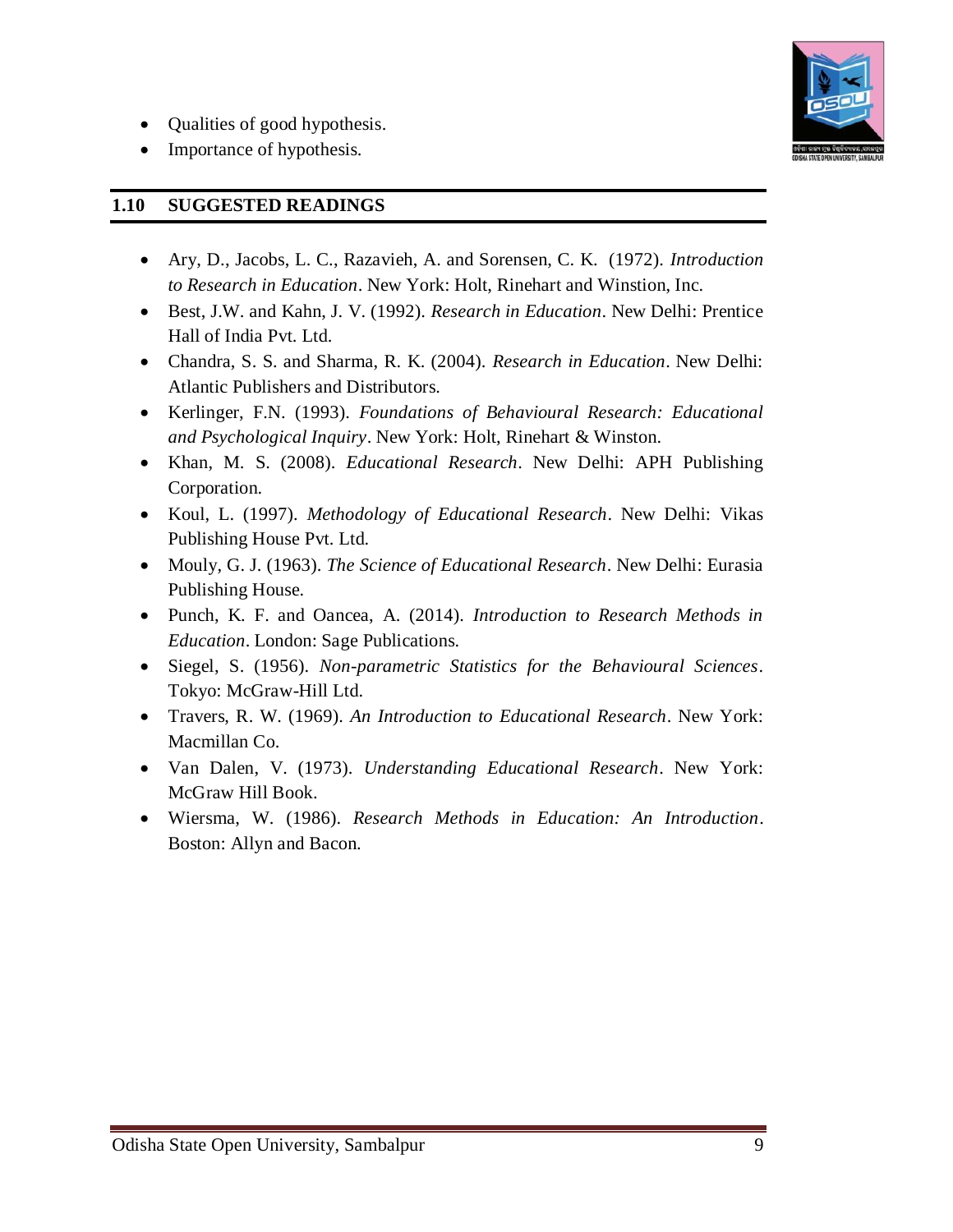## **2.4 TYPES OF HYPOTHESIS**



A hypothesis is a statement that introduces a research topic and predicts a likely outcome. It is a foundation for scientific experiments and is an important part of the scientific method. As a result, you must be cautious and thorough when building the hypothesis. As mentioned below, research hypotheses can be divided into seven categories:

- i. Simple Hypothesis
- ii. Complex Hypothesis
- iii. Working or Research Hypothesis
- iv. Null Hypothesis
- v. Alternative Hypothesis
- vi. Logical Hypothesis
- vii. Statistical Hypothesis

## **2.4.1 Simple Hypothesis**

A simple hypothesis is one that expresses a link between two variables: independent and dependent. It's also known as a fundamental hypothesis. It depicts the link between two variables, one of which is referred to as the independent variable or 'cause,' and the other as the dependent variable or 'effect.' In fact, it predicts a single dependent variable's connection with a single independent variable. Some of the examples of simple hypothesis are: (i) higher the rate of unemployment, higher would be the rate of crime in society; (ii) lower the use of fertilizers, lower would be the agricultural productivity; (iii) smoking cigarettes daily leads to lung cancer; (4) global warming causes icebergs to melt; and (v) higher the poverty in a society, higher would be the rate of crime.

## **2.4.2 Complex Hypothesis**

A complex hypothesis is one that indicates a link between multiple variables. A complex hypothesis is a hypothesis that describes a link between two or more variables. It is, however, a relationship between two or more independent and two or more dependent variables. In fact, it forecasts the interaction of two or more independent and dependent variables. Some of the examples of complex hypothesis are: (i) global warming causes icebergs to melt which in turn causes major changes in weather patterns; (ii) higher the poverty and higher the illiteracy in society, higher will be the rate of crime; (iii) higher the use of fertilizers, improved seeds, and modern equipment, higher would be the agricultural productivity; (iv) higher the illiteracy in a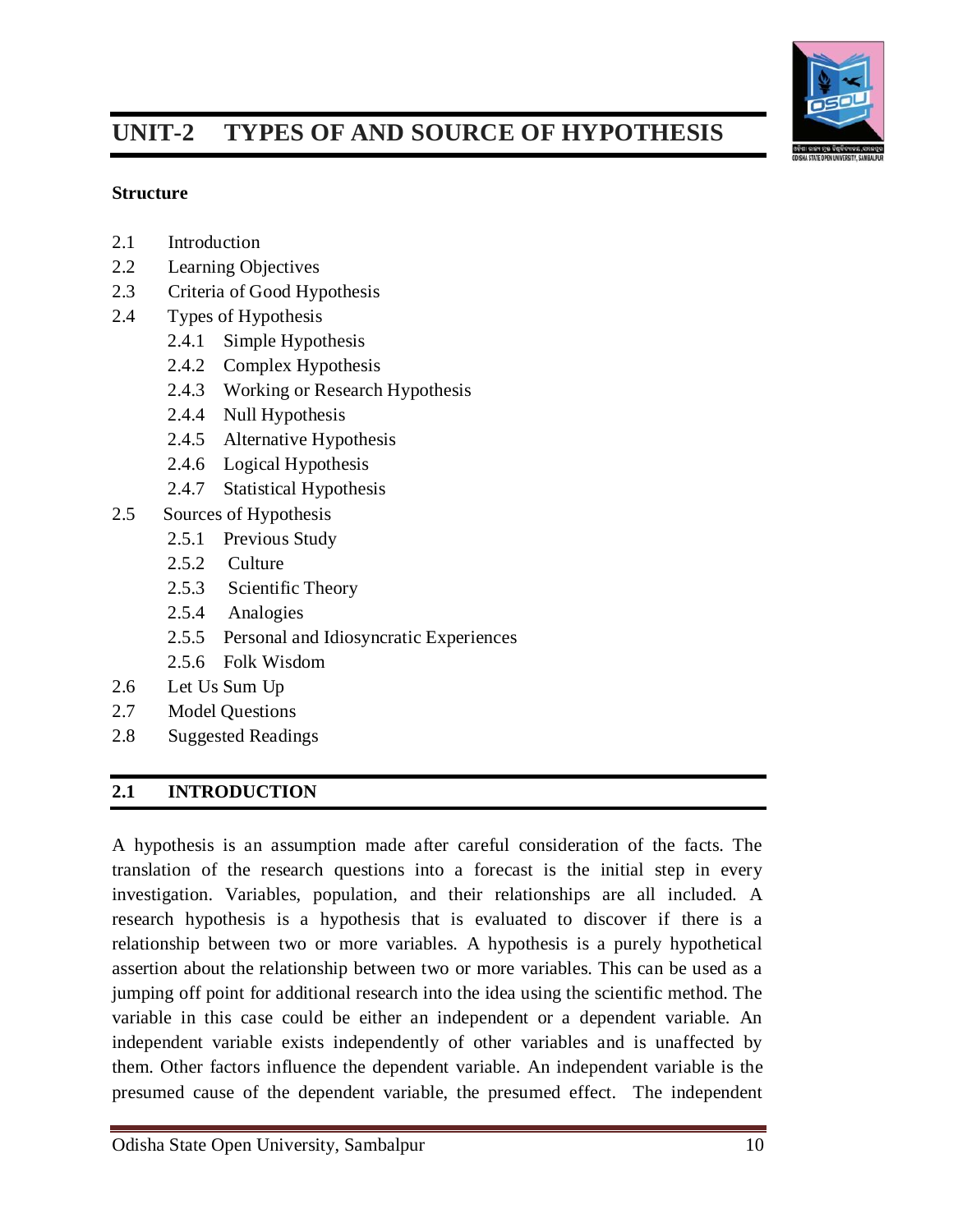

society, higher will be the situation of poverty and crime. There is a line of difference between a simple hypothesis and a complex hypothesis. A complex hypothesis is based on many factors, whereas a simple hypothesis is based on two variables.

## **2.4.3 Working Hypothesis**

A working hypothesis is a hypothesis that has been accepted to test and use in the process of investigation. It is a hypothesis that is thought to be appropriate for explaining specific facts and phenomenon relationships. It is expected that this hypothesis will result in a useful theory, and it has been approved for testing and inquiry. It can simply be any hypothesis that is approved for investigation at the outset. In other words, the empirical hypothesis is the working hypothesis. The working hypothesis is used to guide a researcher through the investigation of a subject by explaining the relationship between some observable data. For example, cotton clothes are better for summer than velvet clothes.

#### **2.4.4 Alternative Hypothesis**

If the working hypothesis is found to be incorrect or rejected, an alternative hypothesis (to replace the working hypothesis) is developed and tested to investigate the desired feature of the research. As the name implies, it's an alternative assumption (or relationship) that's used when the working hypothesis fails to provide the desired theory.  $H_1$  stands for alternative hypothesis. The plant's growth, for example, was improved when it was given vitamin-rich water rather than distilled water. In order to prove that there is no relationship; researchers will couple the alternative hypothesis with the null hypothesis. The alternative hypothesis will be accepted if the null hypothesis is disproven. The alternative hypothesis will not be accepted if the null hypothesis is not rejected. It claims that there is a link between the study's two variables and that the findings are relevant to the research question.

## **2.4.5 Null Hypothesis**

A null hypothesis expresses the absence of a link between variables. It disproves the existence of a link between variables. A null hypothesis is one that the researcher creates with the purpose of disproving, rejecting, or nullifying the null hypothesis and thereby confirming a relationship between the variables. In order to validate that there is a relationship between the variables, a null hypothesis is frequently created as a reverse tactic to prove it untrue.  $H_0$  stands for the null hypothesis. It makes a negative statement to support the researcher's conclusion that two variables have no relationship. Some of the examples of null hypothesis are: (i) poverty has nothing to do with the rate of crime in a society; (2) illiteracy has nothing to do with the rate of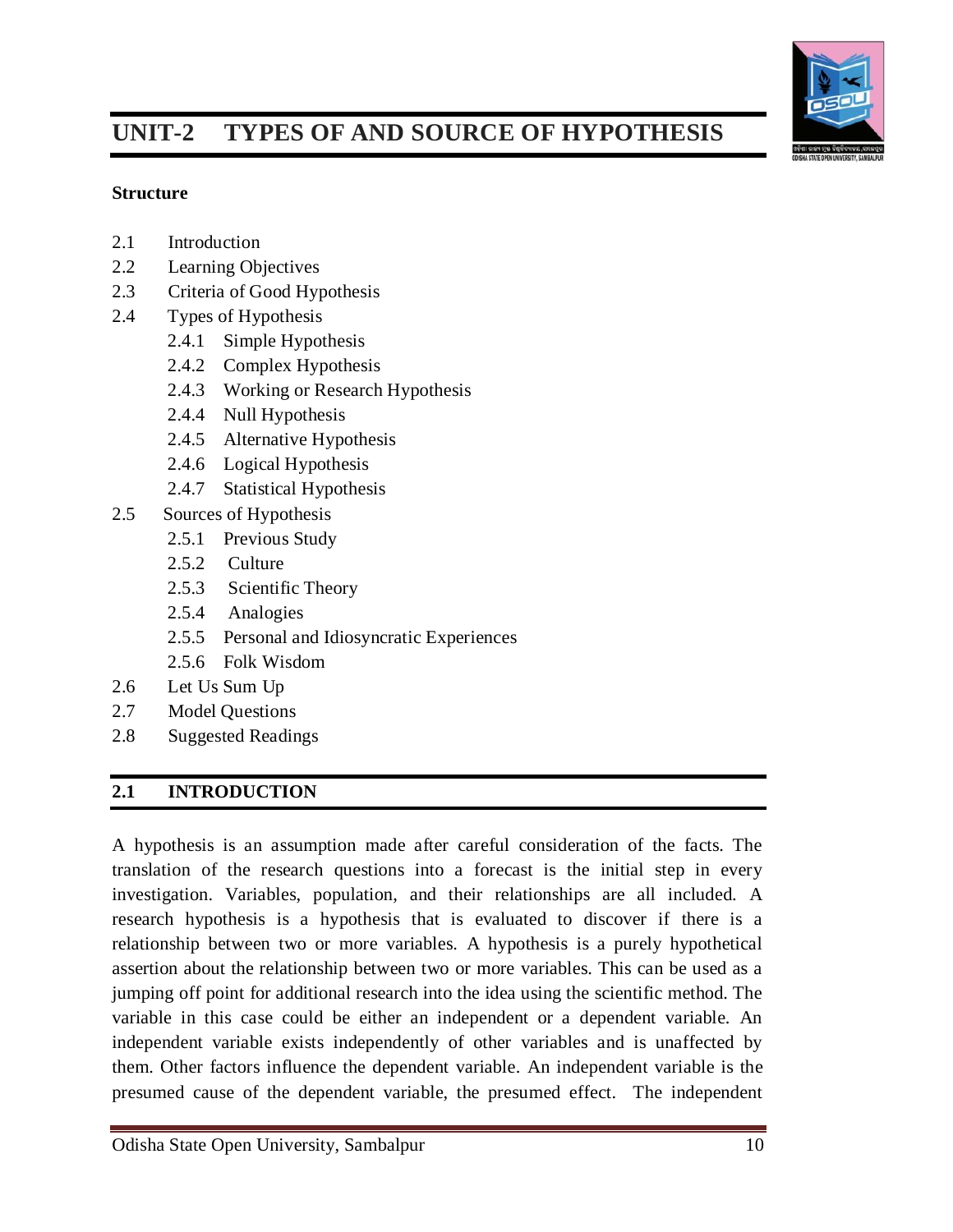

unemployment in society; (3) water does not affect the growth of a plant. As a result, a null hypothesis is a statistical hypothesis that claims there is no difference between specific characteristics of a population. It's worth noting that we're putting the null hypothesis to the test because there is an element of doubt about its validity.

## **2.4.6 Statistical Hypothesis**

Statistical hypothesis is a hypothesis that can be tested statistically. It can be any hypothesis with the ability to be statistically validated. It can be tested by using quantitative procedures. A statistical hypothesis' variables can also be stated to be quantifiable or transformable into quantifiable indications for statistical testing. It doesn't matter if the statement is reasonable or illogical; if a statistic supports it, it becomes a statistical hypothesis. Vitamin C is beneficial to the skin. To be sure, you'd have to put this idea to the test on a group of people. This is a statistical approach of confirming the statement.

## **2.4.7 Logical Hypothesis**

A logical hypothesis is a hypothesis that can be proven rationally. It's a hypothesis that expresses a relationship whose interconnections can be linked using logical explanations to verify it. It can be proven with the use of logical proof. It doesn't mean that statistical approaches can't be used to verify a logical hypothesis. It may or may not be statistically verifiable, but in light of the logical justifications, it appears so plausible that these logical arguments are sufficient to verify it. A logical hypothesis is a proposed explanation based on minimal evidence. In general, you aim to turn a logical hypothesis into an empirical hypothesis by testing your hypotheses or postulations. You can, however, build a hypothesis based on the existing data and come to a logical conclusion. It is logically validated, as the name implies. Agreement, disagreement, and differences of opinion are all part of the verification process. An animal, for example, cannot live without water. This is true because water is required by all living things.

## **2.5 SOURCES OF HYPOTHESIS**

Following sources have been categorized in order to establish hypothesis:

## **2.5.1 Previous Study**

Previous research can also be used to establish a definite hypothesis. If a researcher applies past knowledge of a phenomenon to a specific location, another researcher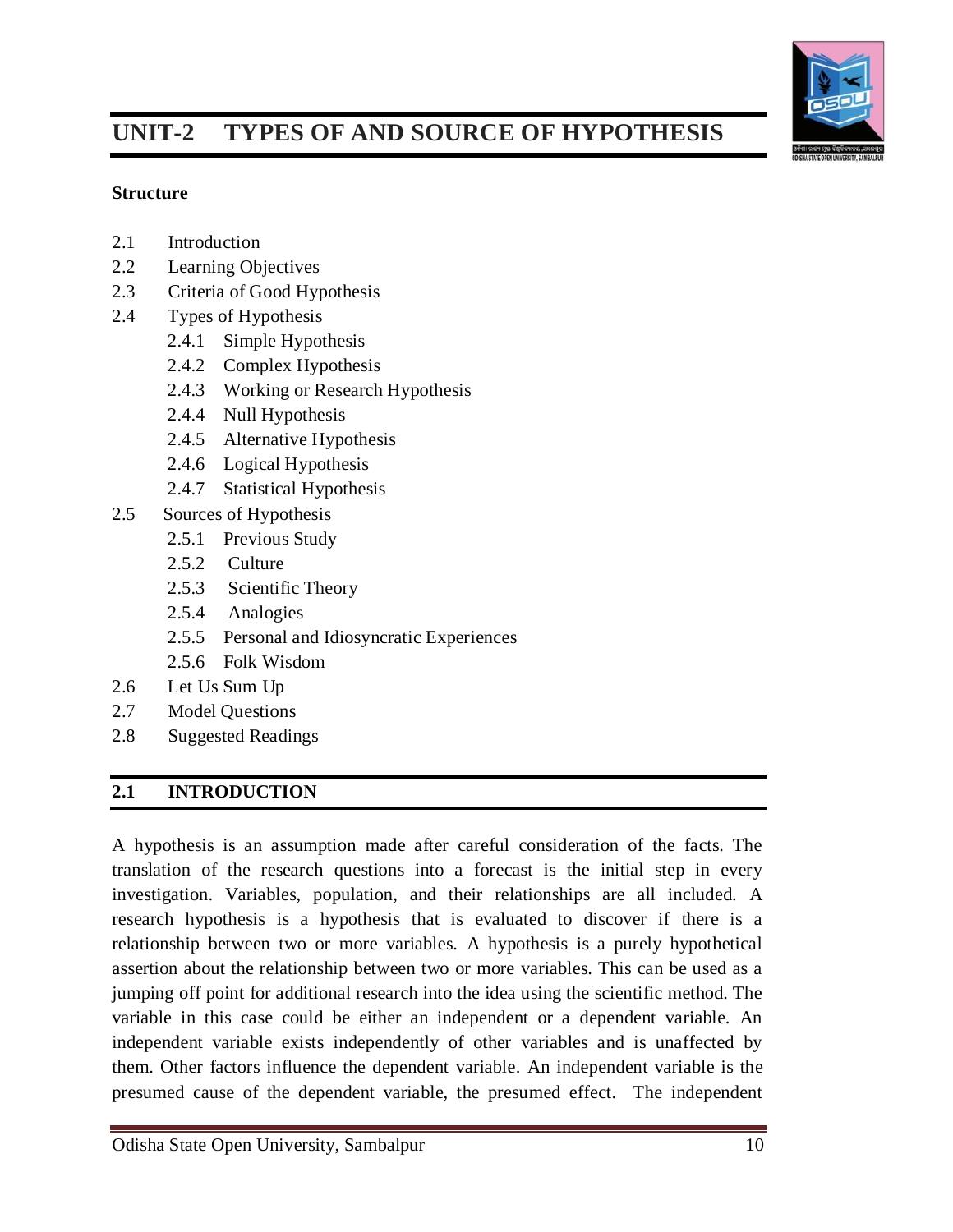

adopts his methods and develops his own. Increased fertilizer and irrigation use, for example, leads to increased agricultural production in a particular district. Now another researcher can conduct a study by applying the previous study. Such hypothesis could be used either to replicate past studies or reverse the hypotheses that the alleged correlation does not exist.

## **2.5.2 Culture**

People's thinking processes are influenced by cultural patterns, and a hypothesis may be developed to examine one or more of these notions. Research interests are guided by cultural beliefs. The role of culture has had a significant role in the advancement of science today. In the words of Goode and Hatt, "to say that the hypotheses are the product of the cultural values does not make them scientifically less important than others, but it does at least indicate that attention has been called to them by the culture itself". In Western society, for example, race is regarded to be a significant influence of human behaviour. A hypothesis can be formulated using such a proposition. We might also blame metaphysical bias and Indian culture's metaphysical concepts for the development of certain assumptions. It means that cultural materials that share a common cultural pattern can be used to generate hypotheses. Thus, culture is the collection of different ways of behaving and adopting them in a specific place and time. Culture should be considered while developing a hypothesis for an issue. If we wish to investigate trends in female education in a specific location, we will look into its traditions, family structure, Norms, Values, region, and educational system.

## **2.5.3 Scientific Theory**

Theory is a key source of hypothesis. By positing a consistent and lawful link among a collection of general concepts reflecting those facts, a theory binds a big body of facts. On the basis of theoretical knowledge, more generalizations are generated. Theoretical corollaries are derived from the theories. Theory has the ability to explain all of the facts around the situation. Scientific theory is a great place to start forming hypotheses. Because theory explains existing facts, the theory utilized by a researcher may satisfy the needs of making it.

The hypothesis includes these generalizations or corollaries. Because theories deal with abstractions that cannot be directly observed and must be thought about, a scientific hypothesis involving observable facts and observable relationships between facts can only be used to select some of the facts as concrete examples of the concepts and to make a tentative statement about the existence of a relation among the selected facts in order to subject the relation to an empirical test. As a result of the deduction from theory, a hypothesis emerges. As a result, assumptions are transformed into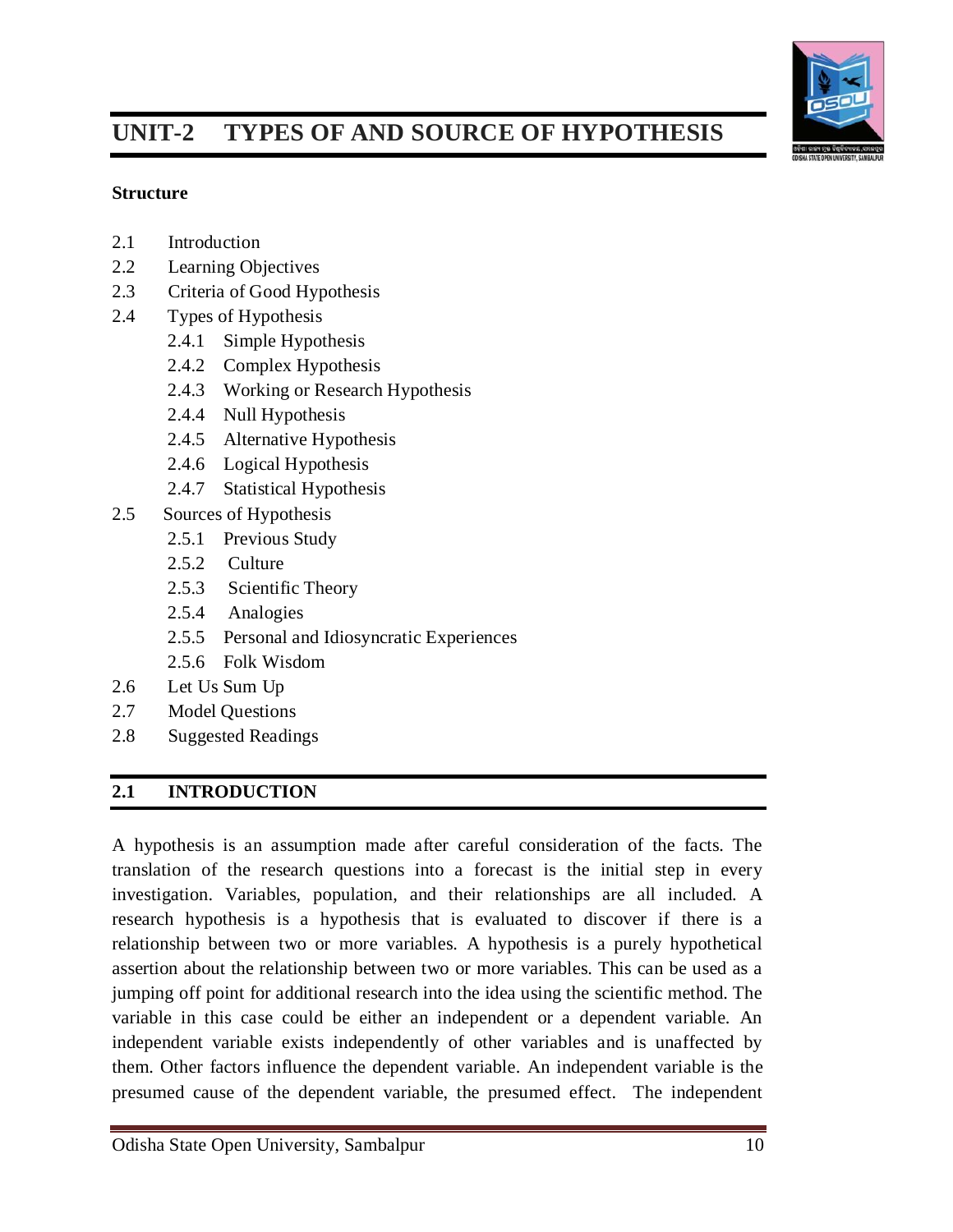

theoretical functioning tools. Every worthwhile theory allows for the development of new hypotheses. The hypothesis is the foundation of all scientific theory development; without it, it would be impossible to confirm or reject hypotheses. When tested, hypotheses are either proved or rejected, constituting subsequent tests of the original theory. As a result, the hypothetical sort of verbal statement connects empirical propositions or facts to theories. Only scientific predictions or experimental hypothesis can be used to test a theory's validity.

## **2.5.4 Analogies**

Analogies are often a source of useful hypothesis. Julian Huxley makes us believe that causal observations in nature or in the framework of another science may be fertile source of hypothesis. The hypothesis that similar human types or activities may be found occupying the same territory came from the plant ecology and was an analogy. The observation that the behavior of human groups seems to exhibit some of the same patterns as found in gravitational and electrical fields led to the basic hypothesis of what is called social physics and is again based on an analogy. Although structural similarities to other well-established theories are not often examined at the time of hypothesis creation, they are generally satisfactory. But the use of analogy as a source of hypothesis needs some care. It will be dangerous to assume that natural areas in human society are a product of symbiosis as in true biology. There is also no empirical method of applying the concept to human beings. Goode and Hatt have rather rightly pointed out that analogy may be very suggestive, but care must be taken not to accept models for sociology from other disciplines without careful examination of the concepts which make up the methods. The formulation of an analogous hypothesis is regarded as a triumph because it facilitates its interpretation.

## **2.5.5 Personal and Idiosyncratic Experiences**

Hypotheses are also the consequence of personal, idiosyncratic experience. The individual experience of the scientist contributes to the type and form of the questions he asks. Some persons might perceive from what might merely seem a jumble of facts to another. History is a witness that many important discoveries were made because right individuals could make right observations at appropriate times. Discoveries of Newton and Darwin can safely be placed in this category and so is the work of Thorstein Veblen.

#### **2.5.6 Folk Wisdom**

Another dominant source of hypothesis is folk wisdom. Both the problems and the hypotheses to be explored and developed are suggested by current popular beliefs and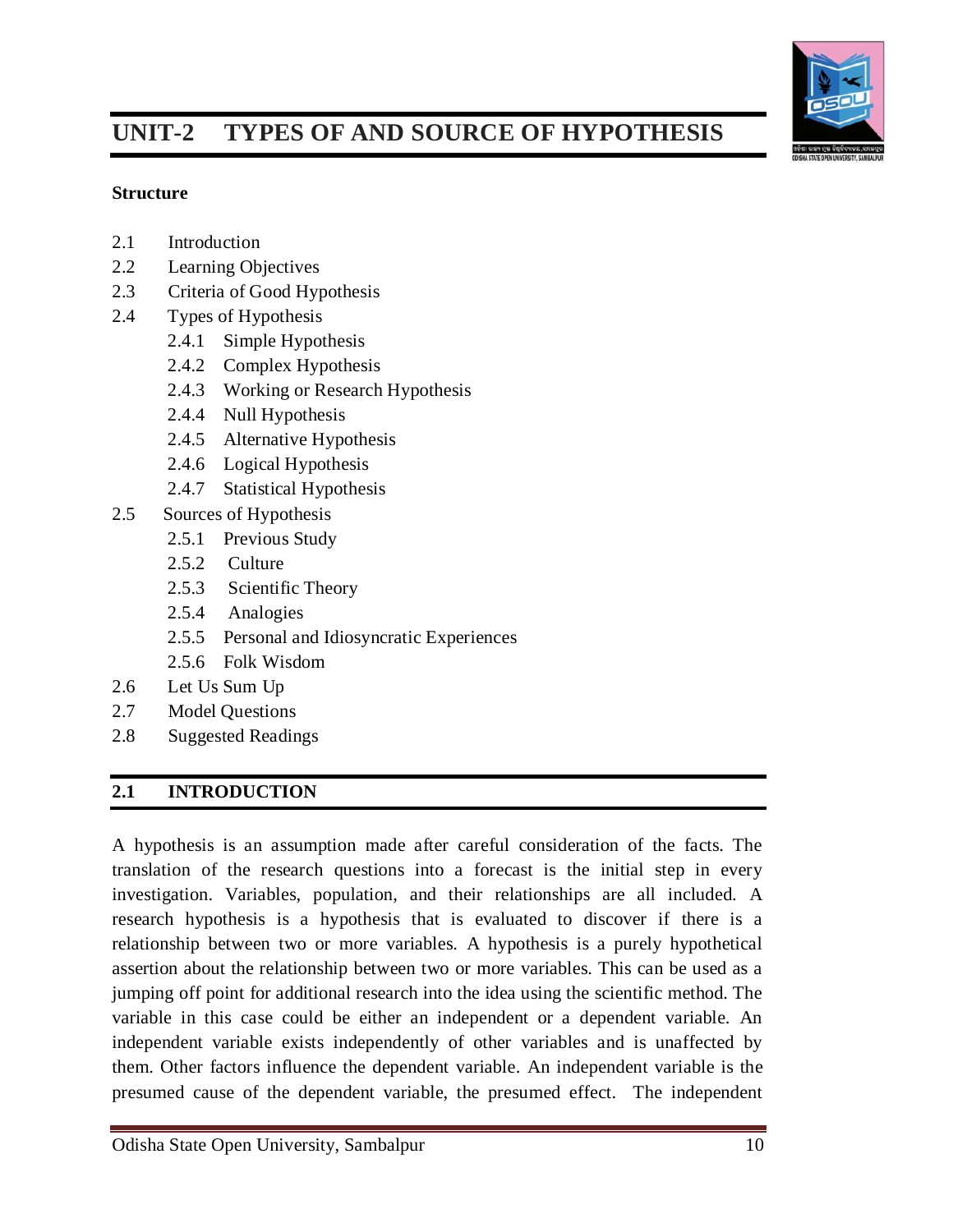

habits. As a result, it is often viable to build hypotheses using folk wisdom rather than highly refined scientific understanding and language.

In fact, all these sources combined together provide the basis for hypothesis.

## **2.6 LET US SUM UP**

A hypothesis is a tentative solution or intelligent assumption regarding a research subject under investigation. It's not just a guess; it's based on previous study, in which the researcher assembles data to support a postulated relationship between variables. As a result, it is a conjecture statement regarding a problem's solution that the researcher then verifies using relevant data. There are broadly seven types of hypothesis. These are: simple hypothesis, complex hypothesis, working or research hypothesis, null hypothesis, alternative hypothesis, logical hypothesis, and statistical hypothesis.

A good hypothesis is one that can be tested and expresses the predicted relationship among variables. It is stated simply and precisely. The expected link between the variables should be stated in a good hypothesis. It has a limited scope and should adhere to the most widely accepted facts. There are different sources in order to formulate research hypothesis. These sources are: previous study, cultural pattern of a society, scientific theory, analogies, personal and idiosyncratic experiences and fold wisdom. It has a tremendous significance in social research. While formulating a good hypothesis, the researcher should follow appropriate criteria.

## **2.8 MODEL QUESTIONS**

Some of the questions for practice have been mentioned in the following sections.

## **Long Answer Questions**

- Define hypothesis. Discuss dominant criteria of a good hypothesis.
- What is hypothesis? Explain several types of hypothesis.
- Elucidate different sources of formulating hypothesis in social research.

#### **Short Answer Questions**

- Meaning of hypothesis
- Criteria of good hypothesis
- Null hypothesis
- Statistical hypothesis
- Scientific theory as a source of hypothesis
- Folk wisdom as a source of hypothesis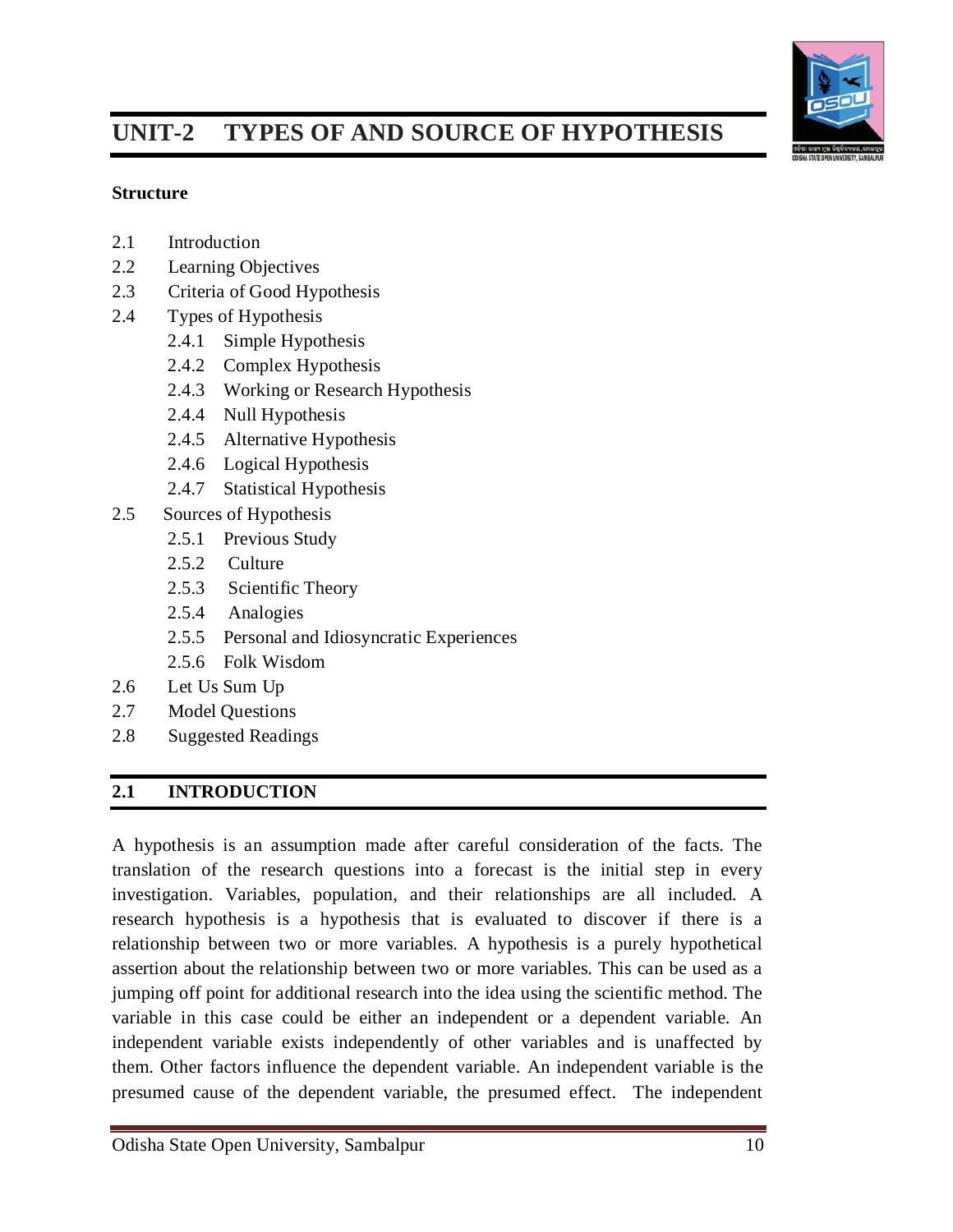

### **2.9 SUGGESTED READINGS**

- Ary, D., Jacobs, L. C., Razavieh, A. and Sorensen, C. K. (1972). *Introduction to Research in Education*. New York: Holt, Rinehart and Winstion, Inc.
- Best, J.W. and Kahn, J. V. (1992). *Research in Education*. New Delhi: Prentice Hall of India Pvt. Ltd.
- Chandra, S. S. and Sharma, R. K. (2004). *Research in Education*. New Delhi: Atlantic Publishers and Distributors.
- Kerlinger, F.N. (1993). *Foundations of Behavioural Research: Educational and Psychological Inquiry*. New York: Holt, Rinehart & Winston.
- Khan, M. S. (2008). *Educational Research*. New Delhi: APH Publishing Corporation.
- Koul, L. (1997). *Methodology of Educational Research*. New Delhi: Vikas Publishing House Pvt. Ltd.
- Mouly, G. J. (1963). *The Science of Educational Research*. New Delhi: Eurasia Publishing House.
- Punch, K. F. and Oancea, A. (2014). *Introduction to Research Methods in Education*. London: Sage Publications.
- Siegel, S. (1956). *Non-parametric Statistics for the Behavioural Sciences*. Tokyo: McGraw-Hill Ltd.
- Travers, R. W. (1969). *An Introduction to Educational Research*. New York: Macmillan Co.
- Van Dalen, V. (1973). *Understanding Educational Research*. New York: McGraw Hill Book.
- Wiersma, W. (1986). *Research Methods in Education: An Introduction*. Boston: Allyn and Bacon.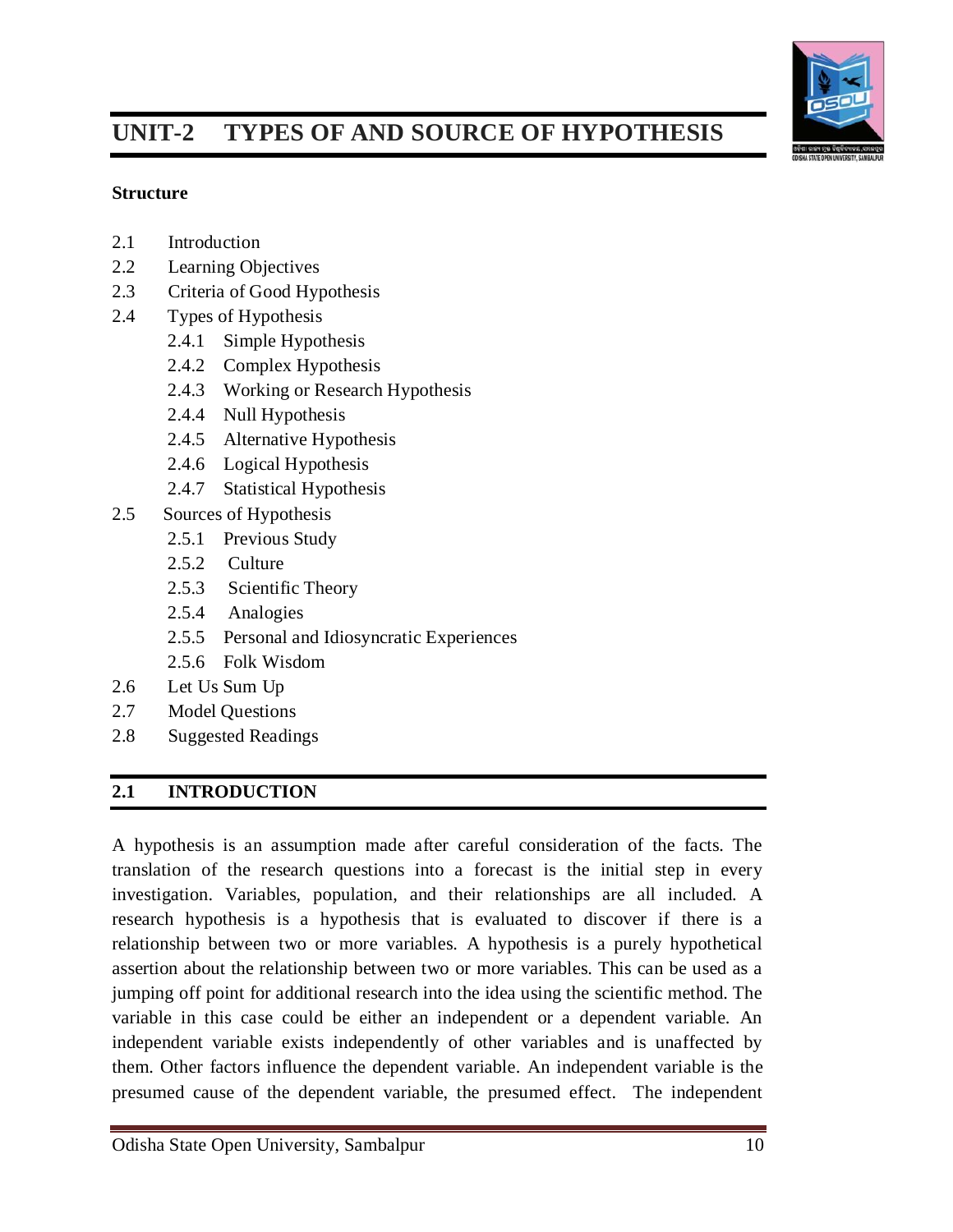

# **UNIT – 3 SAMPLING: MEANING AND CHARACTERISTICS**

#### **Structure**

- 3.1 Introduction
- 3.2 Learning Objectives
- 3.3 Meaning of Sample or Sampling and population
- 3.4 Reasons and Purposes for Sampling Method
- 3.5 Basis of sampling
- 3.6 Importance of sampling in social research
- 3. 7 Advantages of Sampling
- 3.8 Disadvantages of Sampling
- 3.9 Let Us Sum up
- 3.10 Model questions
- 3.11 Suggested Readings

#### **3.1 INTRODUCTION**

In order to investigate a social problem, it is always difficult to study the entire universe. It is because, it is very costly and time consuming. In fact, it is increasingly felt that social researchers have neither sufficient time nor money and energy or resources to study the entire population which is connected or proposed to be covered in a study. In other words, census method of study is proving more and more costly and time consuming. It is therefore convenient to select a sample out of the universe proposed to be covered by the researcher. Thus, it is felt that a representative sample should be picked up and conclusions drawn should be supposed to represent the whole population. But while selecting the sample, it needs to be selected carefully. According to P V Young, "a statistical sample is miniature picture or cross section of the entire group or aggregate from which the sample is taken. The entire group from which a sample is chosen is known as 'the population', 'the universe' or 'supply'". According to Goode and Hatt, "at present, sampling is so essential part of research procedure that every sociologist, though not required to be a sampling expert, must at least be thoroughly familiar with its logic and with some of its basic techniques." It should be representative and picked up in a manner that it represents the universe as a whole. Thus, the coverage or the population of the research or survey is always central to social research.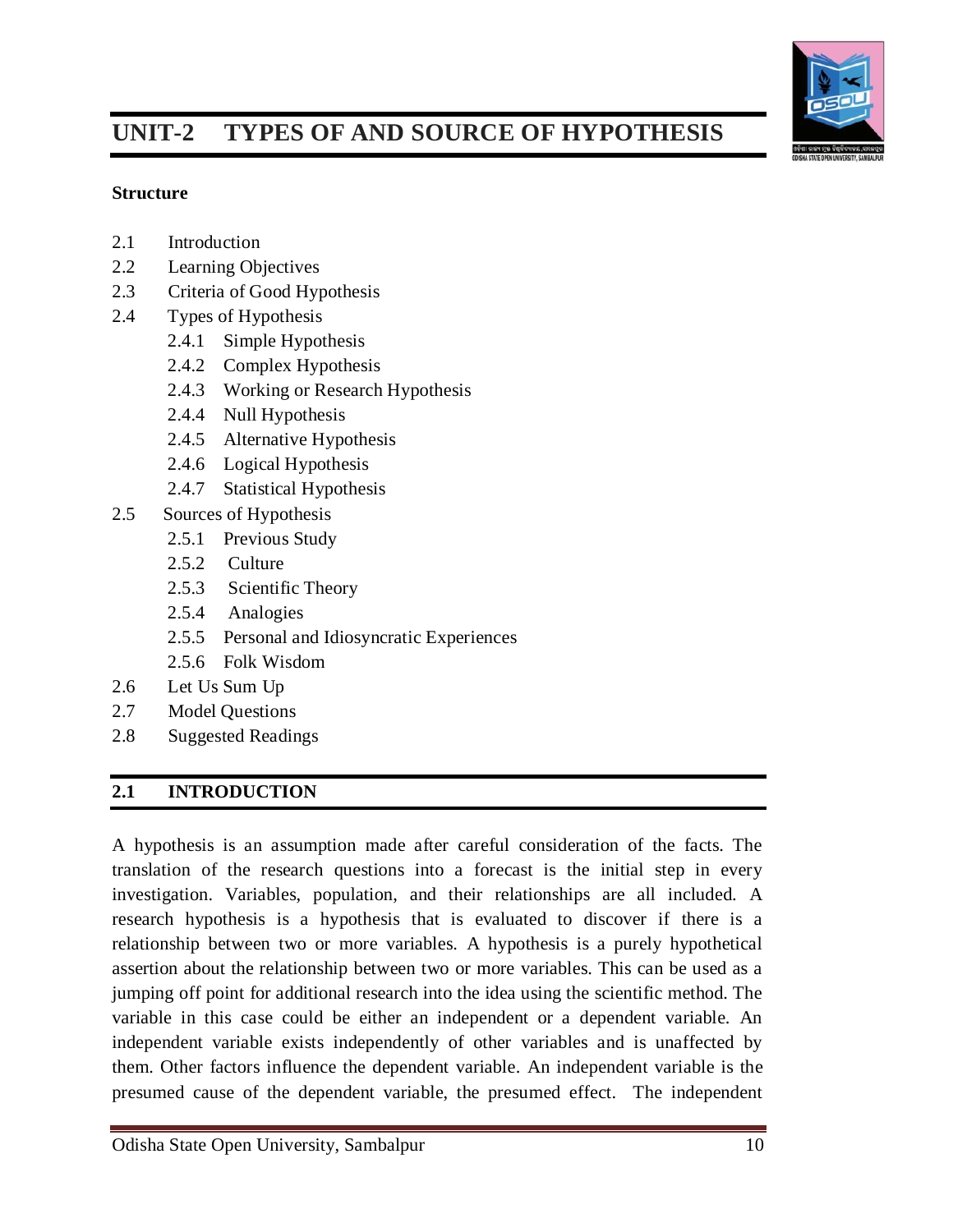

## **3.2 LEARNING OBJECTIVES**

The purpose of this unit is to provide you with an understanding on sampling method with specific reference to its meaning and characteristics. The chapter also provides reasons and purposes of using sampling. It also discusses the basis of sampling method. The chapter also portrays the functions of sampling method. It also describes the advantages and disadvantages of sampling method. Thus, after reading this unit, the reader should be able to understand:

- Meaning of sampling
- Definitions of sampling
- Characteristics of sampling
- Reasons and purposes of sampling
- Basis of sampling
- Functions of sampling
- Advantages of sampling
- Disadvantages of sampling

## **3.3 MEANING OF SAMPLE OR SAMPLING AND POPULATION**

A sample is a portion of people drawn from a large population. It will be representative of the population only if it has same basic characteristics of the population from which it is drawn. Thus, in the words of Ram Ahuja, "our concern in sampling is not about what types of units (persons) will be interviewed/observed but with how many units of what particular description and by what method should be chosen". According to Manheim", "a sample is a part of the population which is studied in order to make inferences about the whole population".

The methodological problems of research broadly fall on three broad areas: from whom to collect the information, what methods to use for collecting it, and how to process, analyze and interpret it. This chapter focuses on the first of these, namely the coverage of survey or research.

The first step always is to define the population to be covered, a task that is never as easy as it sounds. Here it is useful to distinguish between the population for which the results are required, the target population, and the population actually covered, the survey population. Ideally the two will be the same, but for practical reasons there will usually be some differences between them. In statistical enquiry covering a large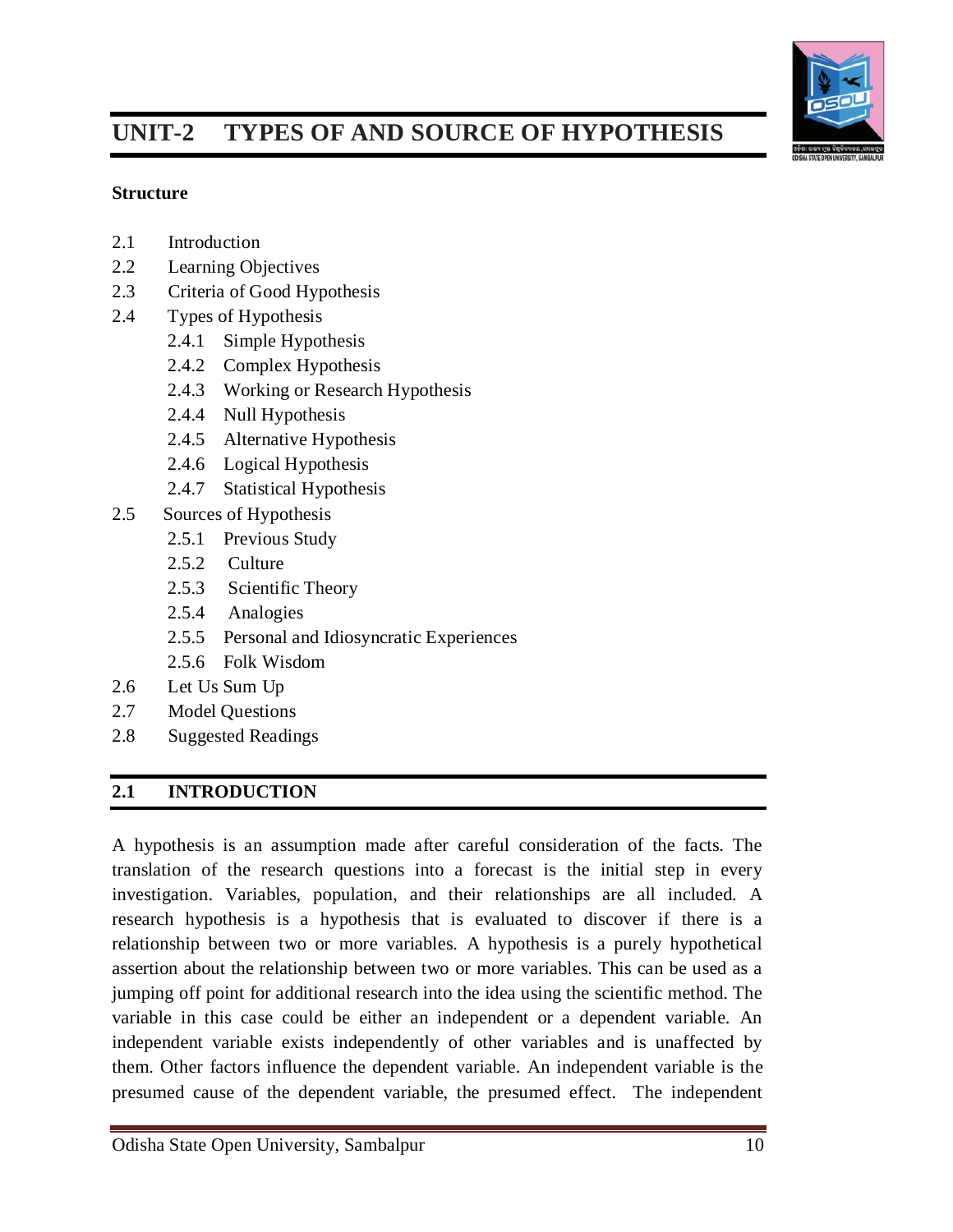

population it is not always feasible to enumerate all the units of the population because of time and resources constraints. Hence, there is a need to develop some sampling techniques to select a representative sample from the whole population of study.

One of the most problems in social research is the problem of sampling. A survey may be conducted by either of the two methods; (i) Census method, (ii) Sampling method. When the whole area or population of persons is contacted the method is known as census method. On the other hand, when a small group is selected as representative of the whole it is known as sampling method. For example, if a study of high school students of the city are contacted and studied, the method of study will be known as census method. If on the other hand, a few hundred students are selected from amongst them, the method used will be known as sampling method.

A population in sampling theory is defined as aggregate of units. These units may be animate or inanimate objects. Population does not mean only human beings and we may talk of population of plants, households, schools, colleges, institutes, factories, cattle cities, towns, villages etc. and also artificial population generated through simulation. Population may be classified into two types: finite population and infinite population. In finite population, the units are finite or countable such as number of persons, cities, households, animals, etc. The term "infinite population" refers to a group of things or humans with no bounds or who cannot be counted such as the amount of red blood cells in a person's body, or the population of stars in space.

Thus, as explained above, when a small group is taken as the representative of the whole, the study is called sampling study. The whole group from which the sample has been drawn is technically known as universe or population and the group actually selected for study is known as sample. According to Prof. Calvin F. Schmid, "a statistical population or universe may consist of attributes, qualities or behaviour of people, the behaviour of inanimate objects such as dice or cities or city blocks, households or dwelling structures, the day's output of a factory or opinions of the electorate of an entire nation". Thus, A sample is a subset of the population, but in statistical study we regard a sample as a representative part of the population. Let's focus on some of the terms we use in sampling. The process of selecting a sample is termed as sampling or sample design. In addition, any statistical enquiry based on sampling from a finite population is called sampling enquiry or sample survey. The units of the population which are liable to be sampled are called sampling unit. If every unit of the population is sampled, the result is complete enumeration of the population or census study.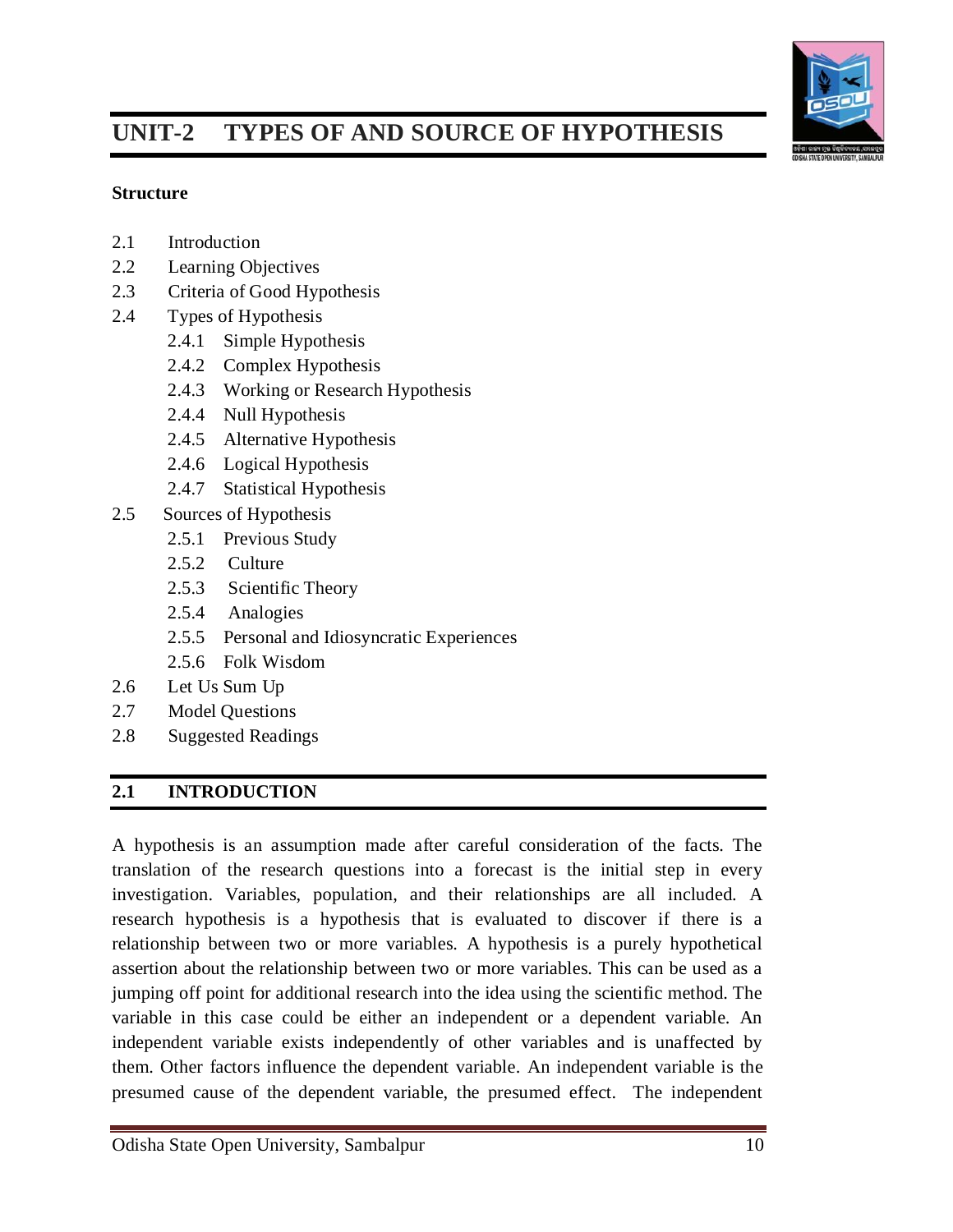

## **3.4 REASONS AND PURPOSES FOR SAMPLING METHOD**

A large population cannot be studied in its totality for reasons of size, time, cost or inaccessibility. Limited time, lack of fund, scattered nature of the population in a huge geographical area often make sampling imperative. As a result, in social research the census method is replaced by the sampling method. Another important objective of sampling is to draw inference about the universe which is unknown from the unit which is observed or measured. Two other important purposes of sampling are: seeking representativeness and thereby studying a small population instead of very large population; and analyzing data where cross tabulation is required, certain variables are to be controlled, and phenomenon is to be observed under certain specific conditions. There are various reasons for the use of this method which have been mentioned in the following points:

- i. It is a method in which a lot of time, money and energy are saved. As we know that in census method there is wide coverage and a lot of time, money and energy are consumed. In this method, since only a sample is picked up and studied, therefore much of resources, human labour and finance are saved.
- ii. More attention is paid to the problem to be studied. Since human energies and resources are limited, therefore when these are concentrated on a sample obviously more attention is paid and more interest is taken, as compared with a situation where the universe is wide and practically unmanageable.
- iii. With the help of this method, more coverage is possible and that too within less time. A few areas can be picked up for study. In this way, it becomes possible to cover wide areas and to manage that within reasonably short time.
- iv. It offers a high degree of accuracy because it deals with a small number of persons.
- v. In short period of time valid and comparable results can be obtained. A lengthy period of data collection generally renders some data obsolete by the time the information is completely in hands.
- vi. Sampling is less demanding in terms of requirements of investigators since it requires a small portion of the target population.
- vii. It is economical since it contains fewer people. Large population would involve employing a large number of interviewers which will increase the total cost of the survey.
- viii. Many research projects, particularly those in quality control testing, require the destruction of the items being tested.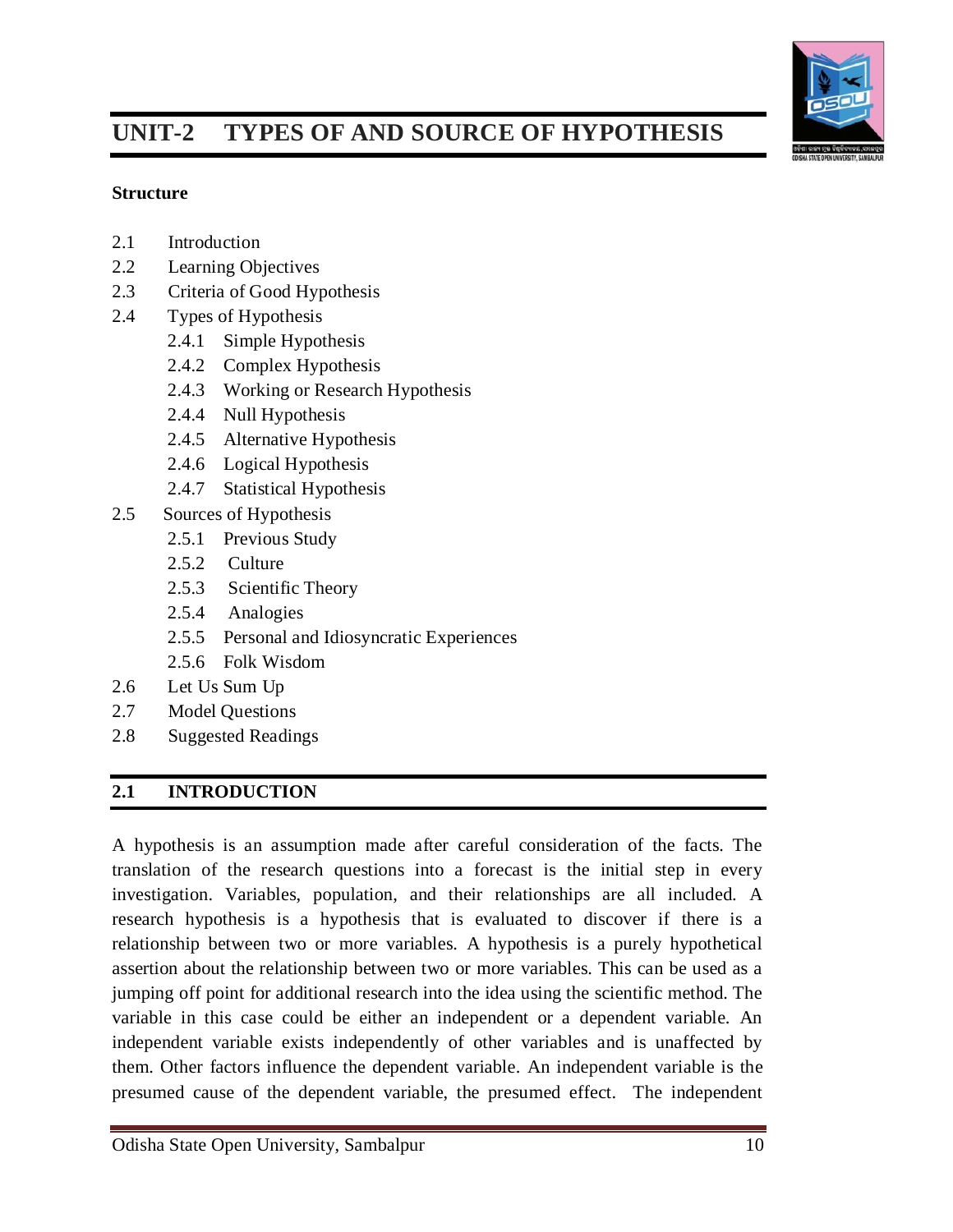

## **3.5 BASIS OF SAMPLING**

Of course sampling method for social research is imperative. It helps in saving time, money and energy and at the same time it can be managed and controlled within the limited time. But a question arises pertaining to what should be the basis of sampling. The choice of a sample as representative of the whole is based upon following assumptions:

- **i. Underlying homogeneity amidst complexity:** Although things especially social phenomena, appear to be very complex in nature, so that no two things appear alike. Apparently, every student may appear to be different. There is difference of health, body, habits, personality etc. It is the possibility of such representative types in the whole population that makes sampling possible.
- ii. **Possibility of representative selection:** The second assumption is that it is possible to draw a representative sample. It has been proved that if a certain number of units will have chance of being included and the sample so selected will certain all types of units, so that it may be representative of the whole group.
- iii. **Absolute accuracy not essential:** The third basic factor is the fact that absolute accuracy is not essential in case of mass study. In large scale studies we have to depend upon averages which are considered fairly significant in any type of enquiry. Thus it is not the absolute accuracy, but relative or significant accuracy that is need in case of large scale observation, and the results of sampling studies although not hundred percent accurate are nevertheless sufficiently accurate to permit valid generalization.

## **3.6 IMPORTANCE OF SAMPLING IN SOCIAL RESEARCH**

Sampling studies are becoming more and more popular in all types of mass studies, but they are especially important in case of social surveys. In modern times researchers in social sciences have assumed increasing importance due to complexities in social environment, social behaviour and social interactions spreading over both developing and developed economics. Because of largeness of population, varied subjects to be covered and requirement of depth in analysis, it is natural and convenient to select a representative sample from the population to give justice to the problem with available limited resources. The vastness of the population, the difficulties of contacting people, high refusal rates, and difficulties of ascertaining the universe make sampling the best alternative in case of social studies.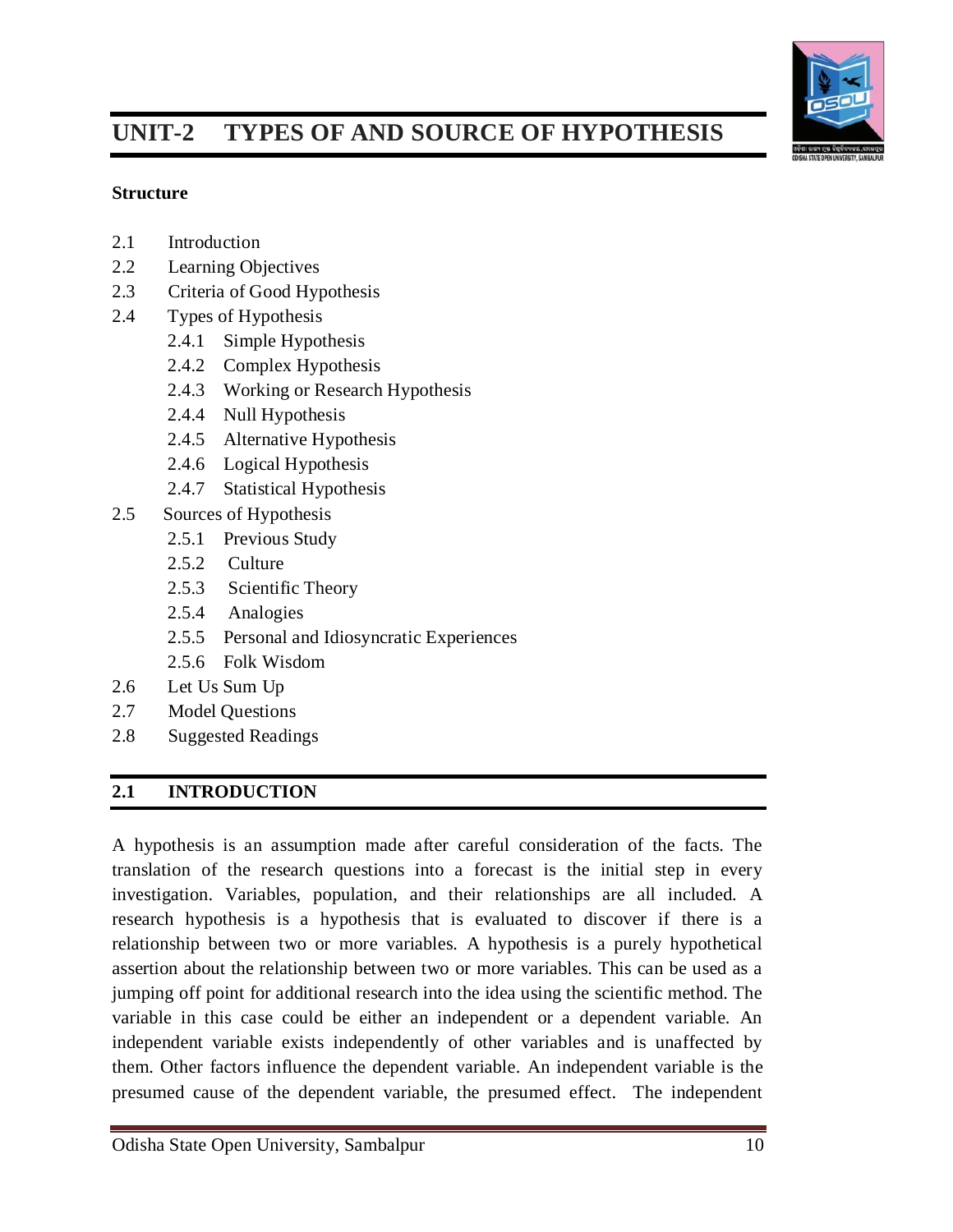

The use of sampling allows more adequate scientific work by bringing into account the time factor at the disposal of scientific worker. Instead of spending much time in analyzing vast mass of data, he may use a smaller amount on many counts for a more intensive analysis of fewer cases. It saves time and thus makes investigation possible within a stipulated period. Recent developments in sampling techniques have made this method more reliable and valid. The results of sampling have attained a sufficiently high standard of accuracy.

## **3.7 ADVANTAGES OF SAMPLING**

Sampling method has certain definite advantages over the census method. The major advantages are as follows:

- i. **Saving time:** Comparatively smaller numbers of units are studied in sampling method and naturally it requires much less time than census method. In certain types of social surveys, time is the most important factor and the result of the study has to be declared quite early to be of any use at all. In all survey sampling is the only method which can ne used.
- ii. **Saving money:** survey of smaller number of cases not only requires less time, but also requires less money, and the study can be financed with much less resources.
- iii. **Detailed study:** when the number of units is large, detailed study is not is not possible. The smaller number of cases in the sample permits a more minute observations and detailed study. In social research sometimes a thorough and prolonged study has to be undertaken. This is only possible when the number of cases to be studied is small.
- iv. **Accuracy of result:** The result drawn by sampling techniques are more reliable than results from census method. If the sample has been properly selected the results are within a very close range of accuracy. Techniques have been successfully evolved to calculate the sampling error by means of statistical methods.
- v. **Administrative convenience:** A small sample is usually more convenient from administrative point of view. In social research we have to deal with human beings who cannot be made to work according to our own will. A small sample is, therefore, more manageable especially in social research.
- vi. **Impossibility of the use of census method:** In social research the use of census method sometimes becomes impossible. It is because the universe is too vast and geographically scattered, so that every unit cannot be contacted. In such case it is impossible to know all users of the product, and the only method that can be used is the sample method.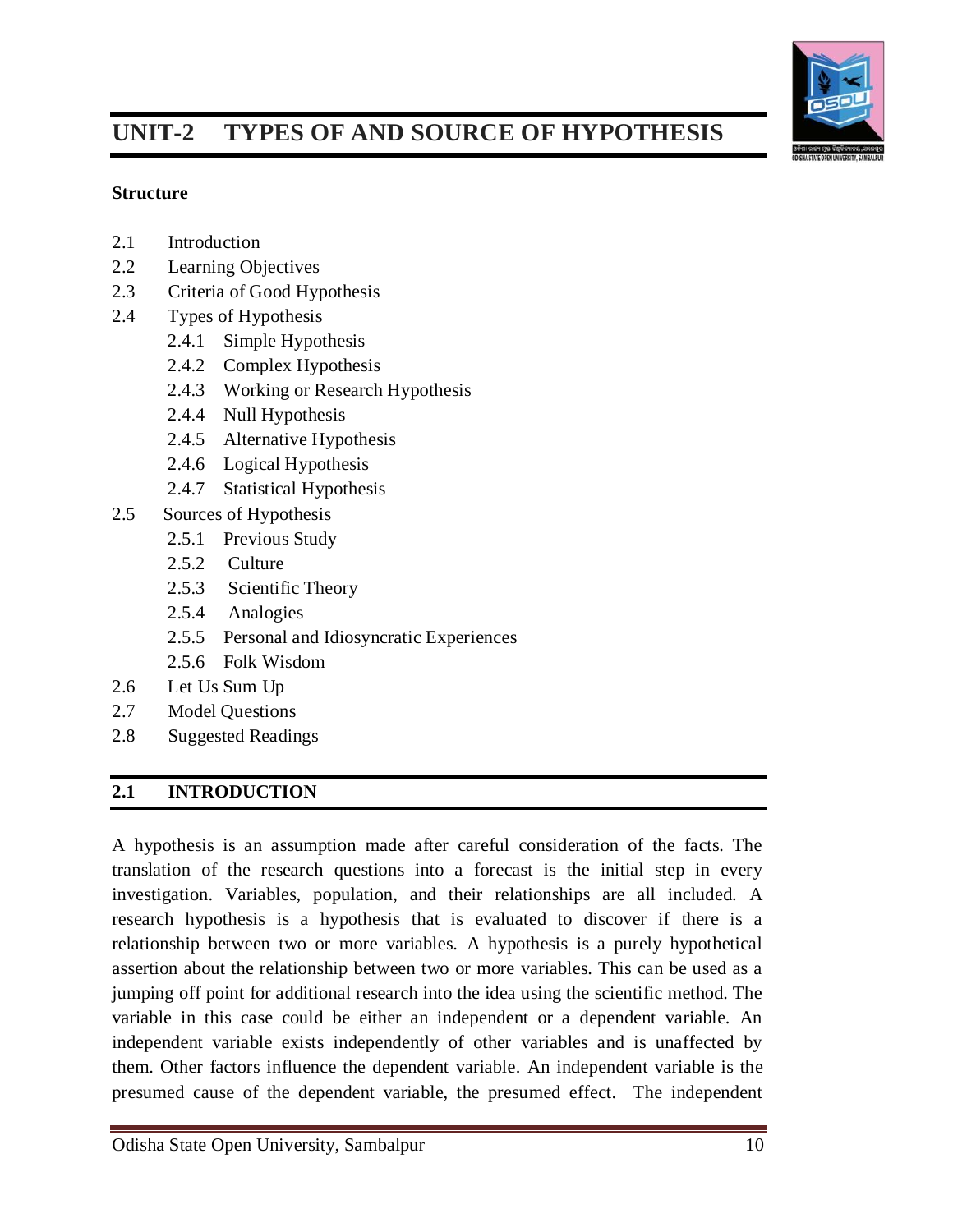

## **3.8 DISADVANTAGES OF SAMPLING**

Followings are the major disadvantages of sampling method:

- i. **Chances of biases:** The most common argument against the sampling method is the fact that it may lead to biased selection and thereby lead us to draw false generalizations. A bias in the sample may be caused either by faulty method of sampling or the nature of the phenomena itself.
- ii. **Difficulties of a representative sample:** The results of sampling are accurate and usable only when the sample is representative of the whole group. Selection of a completely representative sample is very difficult particularly when the phenomena under study are of a complex nature as in case of social research.
- iii. **Need for specialized knowledge:** The use of sampling method cannot be made by everybody and anybody. It requires a specialized knowledge in sampling technique, statistical analysis and calculation of probable error due to use of sampling method. In the absence of such knowledge the researcher may commit untold blunders and entire findings may be reduced to useless scrap.
- iv. **Difficulties in sticking to sample:** Although the number of units in the sample is small, it is not always easy to stick to it, especially in case of social research. The cases of sample may be widely dispersed. Some of them may refuse to cooperate with the researcher, other may be inaccessible. Because of these difficulties complete cases can never be taken up. Sometimes they have to be replaced by other cases. All this causes a bias in the studies.
- v. **Impossibility of sampling:** Sometime the universe is too small or too big heterogeneous so that it is impossible to draw a representative sample. In those cases, where a very big high standard of accuracy has to be maintained the sampling method is unsuitable, because even in the most accurate method of sampling, there are always some chances of error.

## **3.9 LET US SUM UP**

The sample method involves taking a representative selection of the population and using the data collected as research information. A sample is a 'subgroup' of a population. It has also been described as a representative 'taste' of a group. The sample should representative in the sense that each unit will represent the characteristics of a known number of units in the population. All disciplines conduct research using sampling of the population as a method, and the definition is standard across the discipline. We cannot study entire populations because of feasibility and cost constraints, and hence, we must select a representative sample from the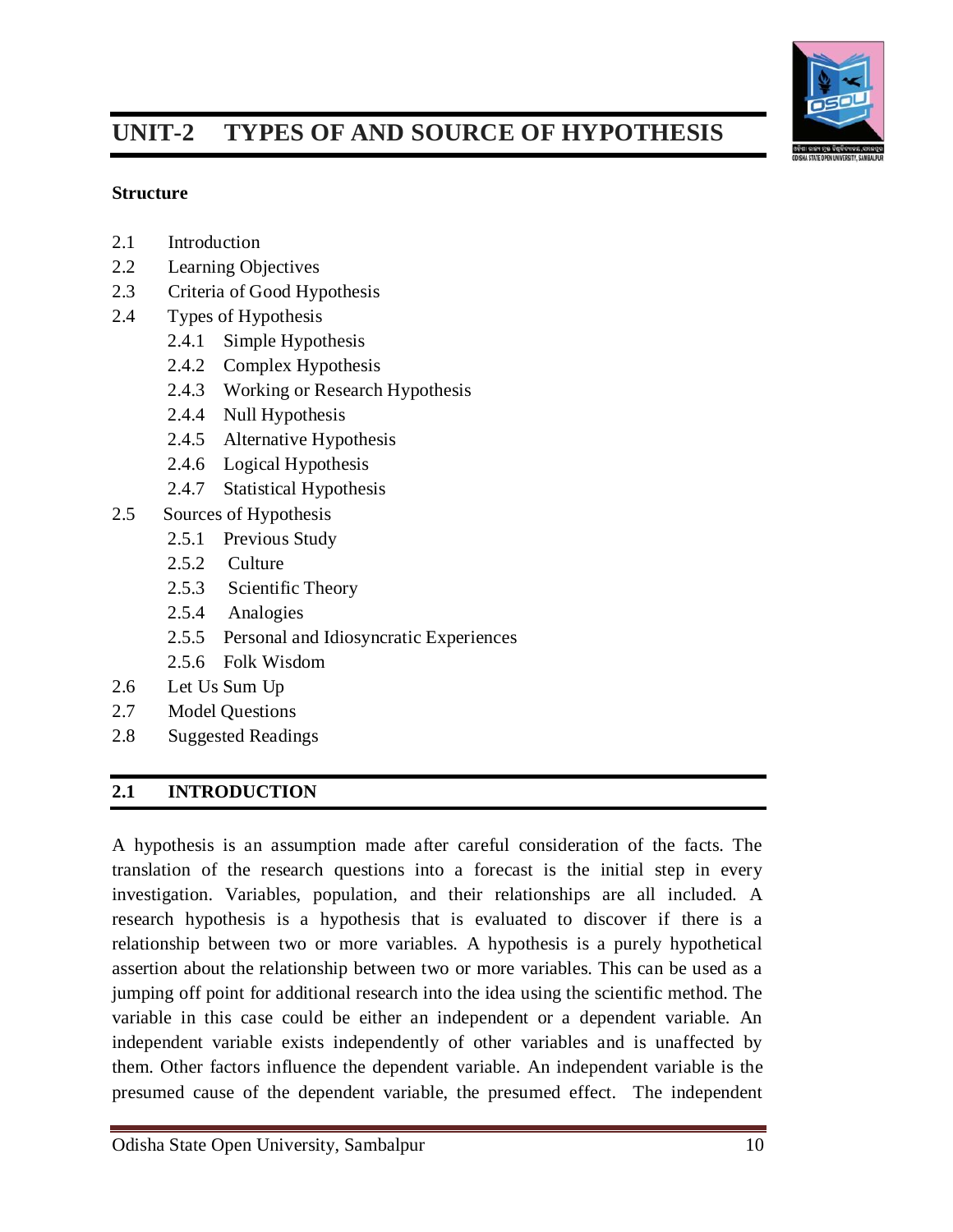

population of interest for observation and analysis. It is extremely important to choose a sample can be generalized back to the population of interest. Improper and biased sampling is the primary reason for not selection of representative sample. The wide use of sampling method is very important for conducting a good quality research in social sciences.

## **3.10 MODEL QUESTIONS**

Some of the questions for practice have been mentioned in the following sections.

#### **Long questions**

- 1. Define sampling. Explain features of sampling method.
- 2. Explain advantages and disadvantages of sampling.
- 3. Describe the reasons and purposes of sampling.
- 4. What are the bases of sampling method? Explain the functions of sampling method.

#### **Short questions**

- 1. Define sampling
- 2. Importance of sampling method in social research
- 3. Population and sampling
- 4. Bases of sampling method
- 5. Purposes of sampling method
- 6. Advantages of sampling method
- 7. disadvantages of sampling method

## **3.11 SUGGESTED READINGS**

- Ary, D., Jacobs, L. C., Razavieh, A. and Sorensen, C. K. (1972). *Introduction to Research in Education*. New York: Holt, Rinehart and Winstion, Inc.
- Best, J.W. and Kahn, J. V. (1992). *Research in Education*. New Delhi: Prentice Hall of India Pvt. Ltd.
- Chandra, S. S. and Sharma, R. K. (2004). *Research in Education*. New Delhi: Atlantic Publishers and Distributors.
- Kerlinger, F.N. (1993). *Foundations of Behavioural Research: Educational and Psychological Inquiry*. New York: Holt, Rinehart & Winston.
- Khan, M. S. (2008). *Educational Research*. New Delhi: APH Publishing Corporation.
- Koul, L. (1997). *Methodology of Educational Research*. New Delhi: Vikas Publishing House Pvt. Ltd.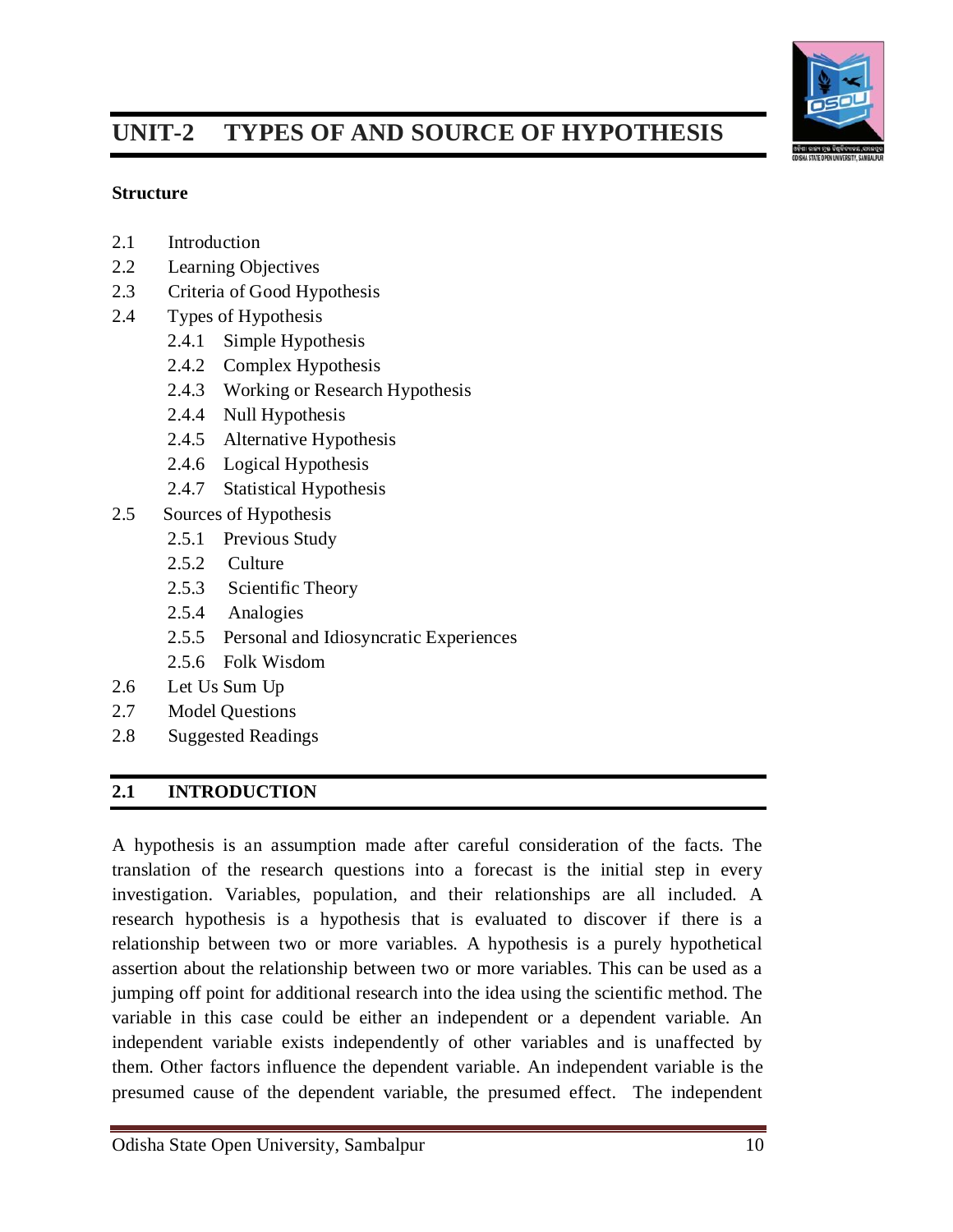

- Mouly, G. J. (1963). *The Science of Educational Research*. New Delhi: Eurasia Publishing House.
- Punch, K. F. and Oancea, A. (2014). *Introduction to Research Methods in Education*. London: Sage Publications.
- Siegel, S. (1956). *Non-parametric Statistics for the Behavioural Sciences*. Tokyo: McGraw-Hill Ltd.
- Travers, R. W. (1969). *An Introduction to Educational Research*. New York: Macmillan Co.
- Van Dalen, V. (1973). *Understanding Educational Research*. New York: McGraw Hill Book.
- Wiersma, W. (1986). *Research Methods in Education: An Introduction*. Boston: Allyn and Bacon.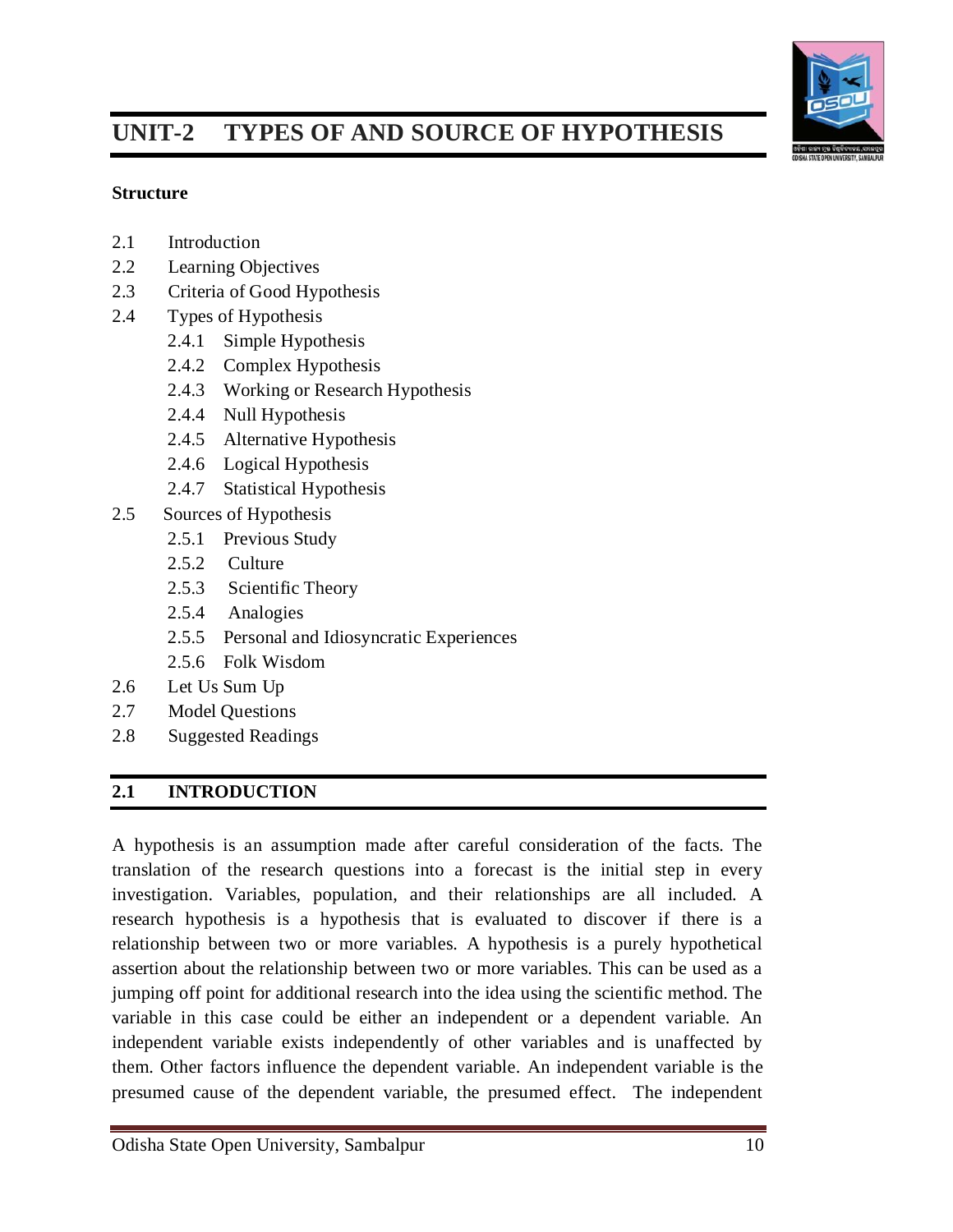# **UNIT – 4 TYPES OF SAMPLING**



#### **Structure**

- 4.1 Introduction
- 4.2 Learning Objectives
- 4.3 Procedure behind Selecting a Sample
- 4.4 Factors affecting the size of the sample
- 4.5 Types of Sampling
- 4.6 Probability sampling
- 4.7 Non-probability sampling
- 4.8 Let Us Sum Up
- 4.9 Model Question
- 4.10 Suggested Readings

#### **4.1 INTRODUCTION**

Sampling is an indispensable aspect in social science research. In fact, it is regarded as an important dimension in social science research. A research may be conducted by either of two broad methods: census method or sampling method. When the whole area or population is contacted the method is known as census method. On the other hand, when a small group is selected as representative of the whole mass it is known as sampling method. In social science research, it is very difficult to conduct research based on census method. Therefore, sampling is very much necessary in social science research. There are different types of sampling: probability and non-probability. The present chapter broadly describes different types of sampling. However, before that it also discusses the procedures adopted behind selecting sample and factors affecting size of the sample.

#### **4.2 LEARNING OBJECTIVES**

The purpose of this unit is to provide you with an understanding on sampling method with specific reference to its different types. While doing so, it has discussed both probability and non-probability sample. The chapter also provides procures adopted behind selecting sample. It also discusses the factors affecting size of the sample. It also describes the advantages and disadvantages of different types of sampling method. Thus, after reading this unit, the reader should be able to understand:

- Procures adopted behind selecting sample
- Factors affecting size of the sample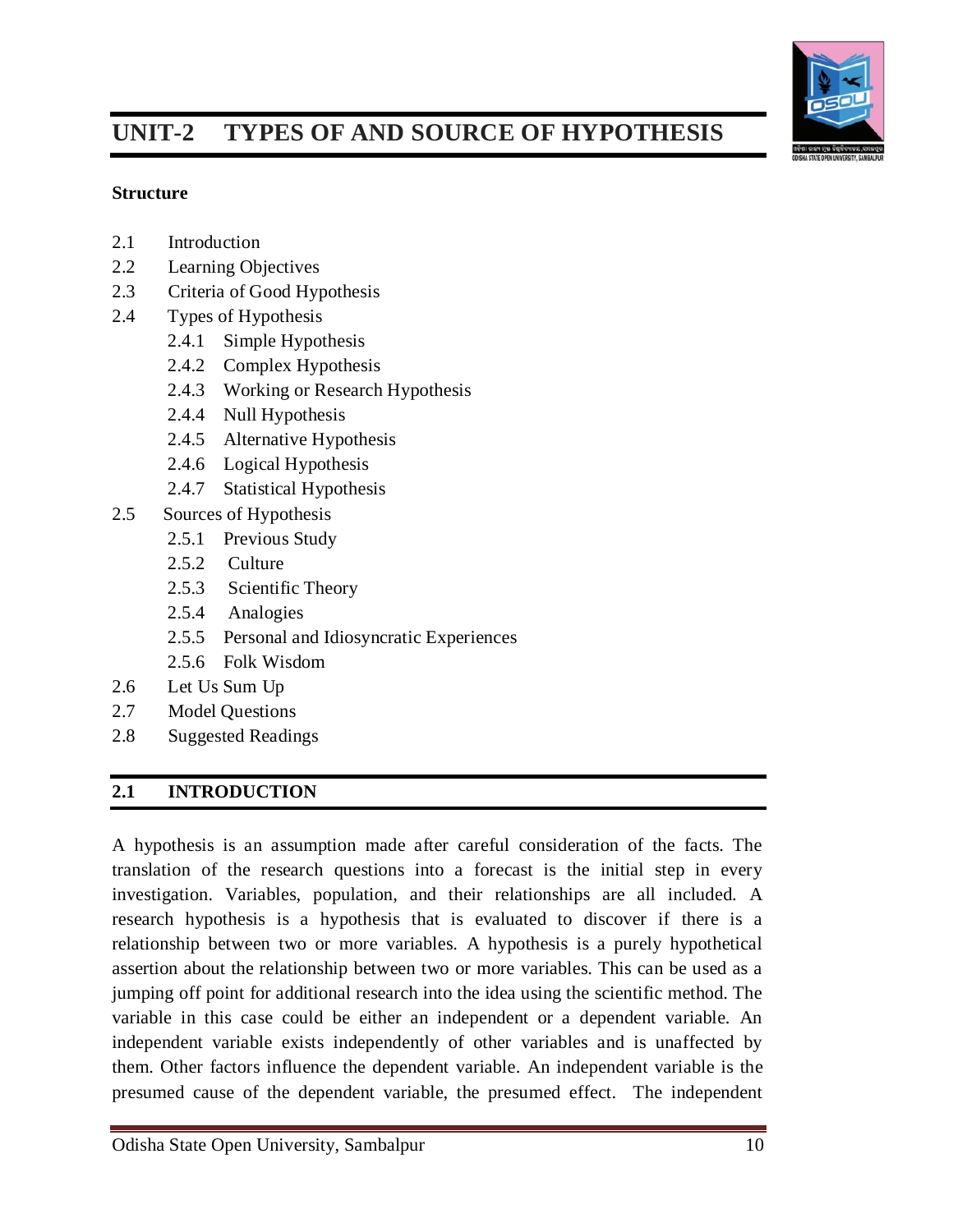- Probability sampling
- Non-probability sampling



## **4.3 PROCEDURE BEHIND SELECTING A SAMPLE**

A procedure of selecting a sample differs according to the type of sample selected. Following steps are generally taken in selecting the sample.

- i. **Defining universe:** The whole group from which the sample is to be selected is technically called universe ot population. Thus in order to draw the sample we must first of all have a clear idea of the universe from which the sample is to be drawn. In some cases, the universe has the geographical limits and then it is very easy to locate it. But if the universe depends upon some quality or attribute, the definition of the universe becomes rather difficult. There are different types of universe which are classified into following categories:
	- a. **Definite and Indefinite universe***:* when the number of units failing within the universe can be definitely ascertained it is known as definite universe like city or a locality or students of a college or university etc. when this number and the exact units cannot be ascertained we call it as indefinite universe. A universe may be indefinite because of its constantly changing nature. It may be indefinite when the cases cannot be located like the users of a particular product, listeners of a particular radio program.
	- b. **Real and Hypothetical universe:** The universe may be real or simply hypothetical. Hypothetical universe is not used in case of surveys, but it has great utility in statistical analysis. Most of the statistical generalizations are made from a purely hypothetical universe. If the total population of a place falling within a similar class is given to us, we can form a theoretical frequency distribution of various age groups and thus determine the number of units to be drawn from each group. This type of universe will be known as hypothetical universe.
- ii. **Sampling unit:** Before drawing a sample we have to decide the unit of a sample. What shall we select  $-$  a house, a family, an individual or a group. The main types of sampling unite are:
	- (a) Geographical units like state, city, ward, region, locality
	- (b) Structured units like a house, a flat
	- (c) Social group units like family, a school, a club, a church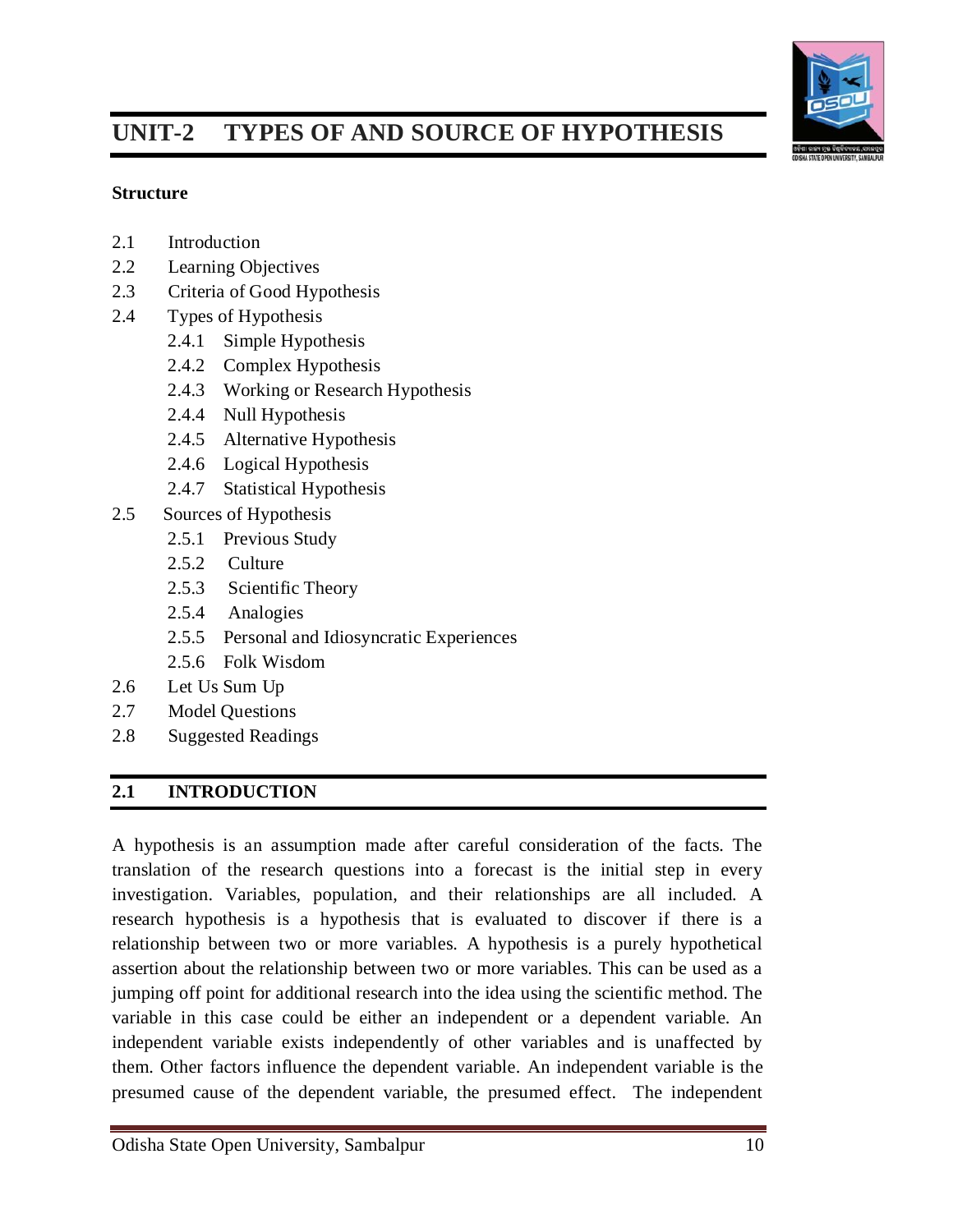



While selecting the sample certain qualities should keep in the mind of a researcher like:

- (a) The unit should be clear, unambiguous and definite. It should be capable of being objectively ascertained and easily located
- (b) The unit of sample should be standardized. If an entirely new unit has been used, its meaning and significance should be explained clearly.
- (c) The unit of sample should be suitable for the problem under study.
- (d) The unit should be easily ascertained
- iii. **Source list:** The list which contains the names of the units of universe from which the sample is to be selected is technically known as source list. A source list may be already in existence or it may have to be prepared. Sometimes the list may be available in parts and may have to be consolidated. At other times the list may be exhaustive and relevant universe may have to be sorted. For maintaining a good quality of source list, the following criteria may be included:
	- (a) The list should be exhaustive. The entire universe to be studied must be contained in the source list.
	- (b) The list should be up to date and valid. It should not contain dead names and must include the latest addition to the list.
	- (c) The list should contain full information about the units.
	- (d) The names should not be repeated in the list.
	- (e) The source list should be suitable for the unit of study. it will contain in detail about the individual names, house number etc.
	- (f) Source list must be reliable. It must be maintained by an authority that can be relied upon.
	- (g) Source list must be within reach of the researcher.

## **4.4 FACTORS AFFECTING THE SIZE OF THE SAMPLE**

The size of the sample is an important problem to be decided in case of sampling. This is because the size has a direct bearing upon accuracy, time, cost and administration of the survey. Large samples are generally hard to manage and are unfit for detailed study, but that may be essential for representativeness. The size of the sample depends upon a number of factors. Following are some of the factors affecting size of the sample.

i. **Homogeneity and heterogeneity of universe:** If the universe is comparatively homogeneous a smaller size of the sample may be sufficient.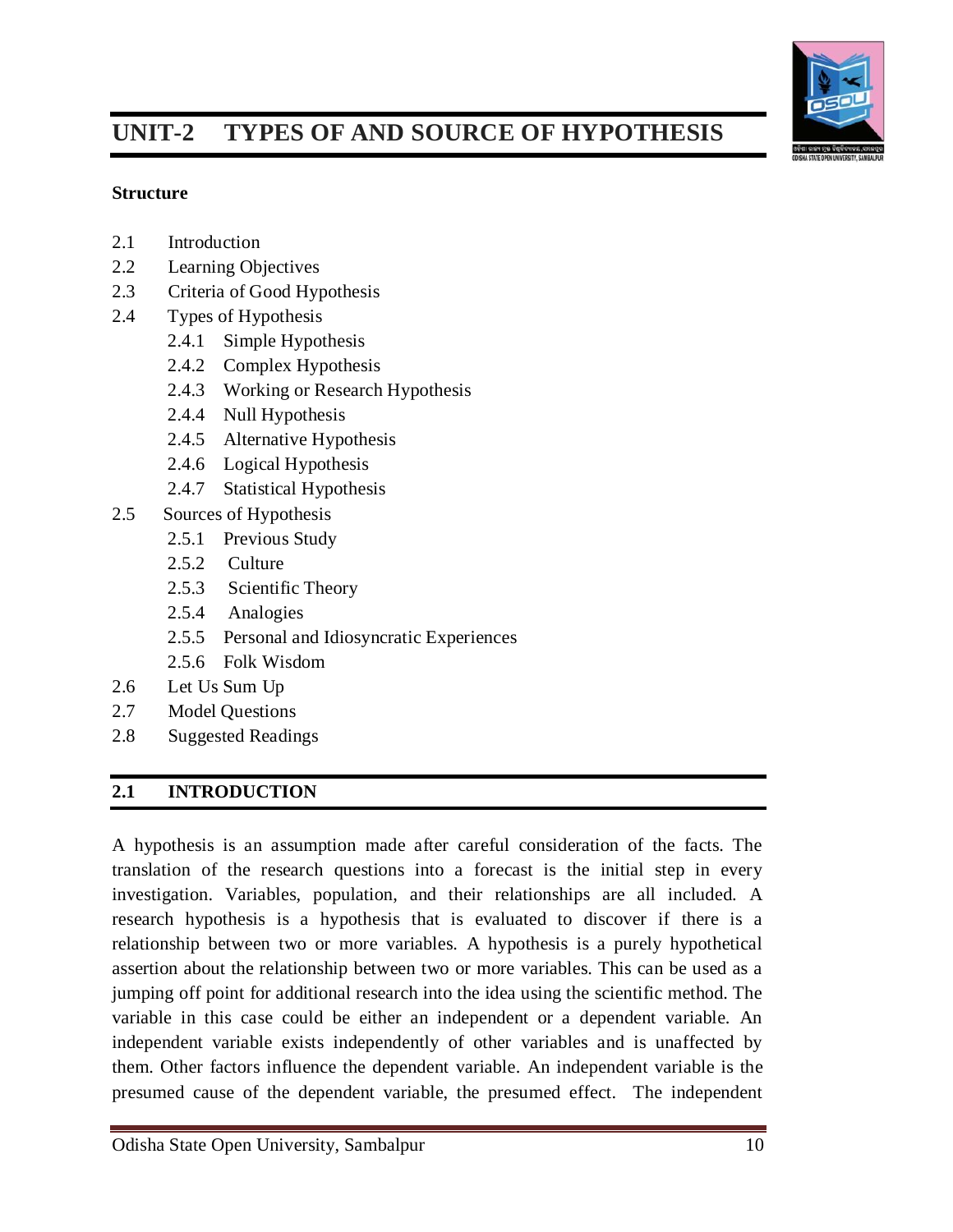

If all the units were exactly alike one single unit could serve as sample, but of the universe is heterogeneous so that very few units are similar, the sample has to be essentially larger in size.

- ii. **Number of classes proposed:** If a larger number of classes are to be formed the sample must be large enough so that every class may be of a proper size. If the size of the sample is small there may be some classes which may contain one or two units only. Some may remain totally unrepresented. Thus larger number of classes proposed greater will be the size of the sample.
- iii. **Nature of study:** The size of sample will also depend upon the nature of study. if an intensive study is to be made continuing for a pretty long time, large sample is unfit for the purpose, as it will require very large finance and other resources.
- iv. **Practical consideration:** Practical considerations as availability of finance, time at our disposal, number of trained field workers etc. may also be taken as important factor in deciding the size of the sample. The limitations of these resources necessarily limit the size of the sample. Although these practical considerations do weigh heavily in determining the size of the sample it should never be done at the cost of accuracy.
- v. **Standard of accuracy:** it is generally considered that larger the size of the sample greater of accuracy or representativeness. Although this is not true in all cases, as mere largeness of size is no guarantee for representativeness. A small but well selected sample may give better results than a larger and thoughtlessly selected sample. As the technique of sampling is becoming more and more scientific and refined better standards of accuracy has been possible to be achieved by comparatively smaller samples.
- vi. **Size of the questionnaire or schedule:** The size of the questionnaire and the nature of questions to be asked is also a limiting factor for the size of the sample. Larger the size of schedule, more complicated the questions to be asked, smaller is to be the size for proper administration.
- vii. **Nature of cases to be contacted:** The nature of cases to be contacted plays its own part in deciding the size of the sample. If the cases are geographically scattered a small sample is more suitable.
- viii. **Type of sampling used:** If absolute random sampling has been used a much larger sample is required. Random sample is reliable only when sufficiently large number of units has been selected. On the other hand, if stratified sample has been selected reliability can be achieved in a much smaller size.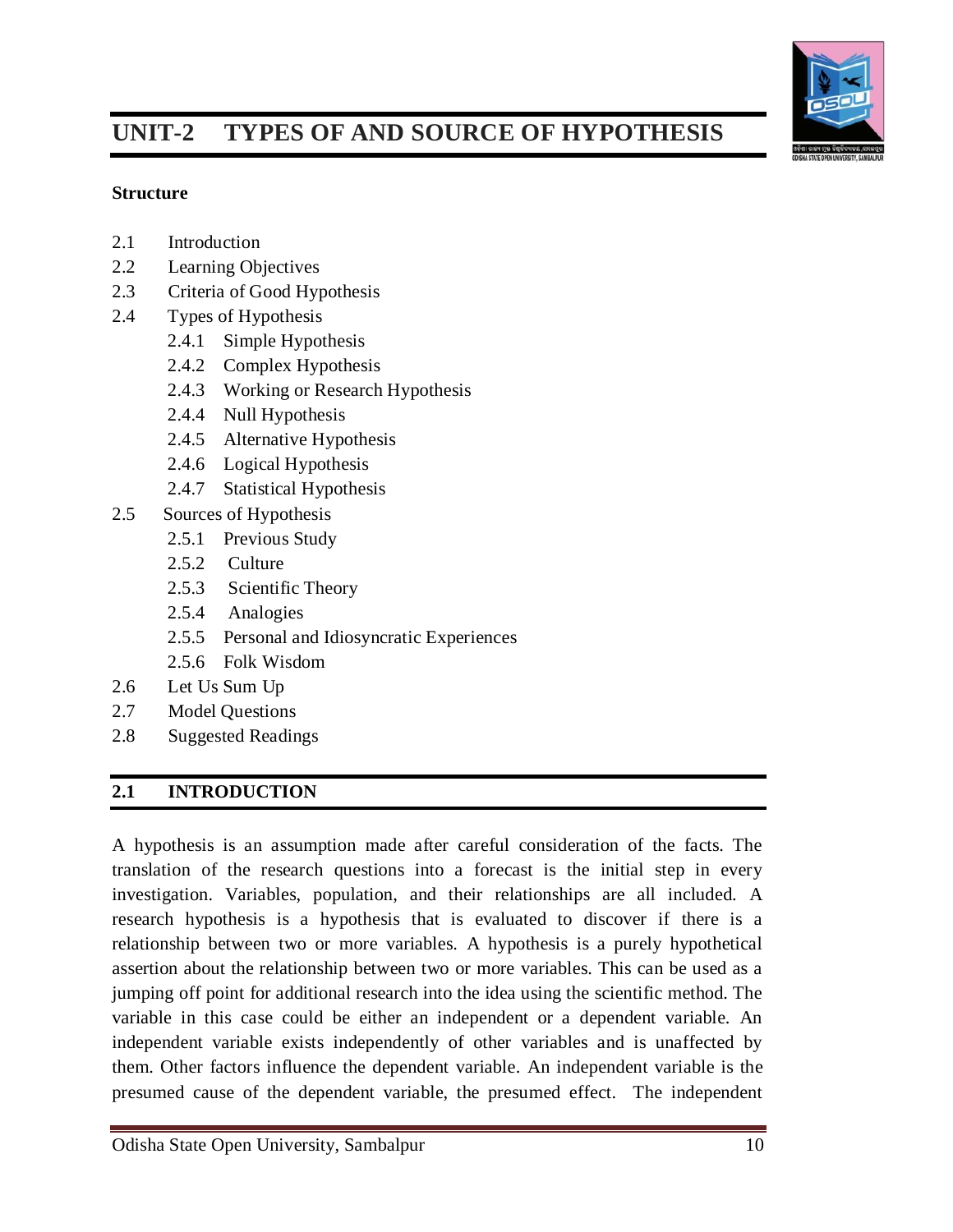

## **4.5 TYPES OF SAMPLING**

There are basically two types of sampling: Probability sampling and Nonprobability sampling. Probability sampling is one in which every unit of the population has an equal probability of being selected for the sample. It offers a high degree of representativeness. However, this method is expensive, timeconsuming and relatively complicated since it requires a large sample size and the units selected are usually widely scattered. Non-probability sampling makes no claim for representativeness as every unit does not get the chance of being selected. It is the researcher who decides which sample units should be chosen.

#### **4.5.1 Probability sampling**

The sampling process where the sampling units from the population are selected following laws of chance or probability is termed as probability sampling. In this type of sampling every unit of the population has definite and calculable probability of being selected. In simple words, probability sampling is one in which every unit of the population has an equal probability of being selected for the sample. It offers a high degree of representativeness. According to Black and Champion (1976:266) the probability sampling requires following conditions to be satisfied: (i) complete list of subjects to be studied is available, (ii) size of the universe must be known, (iii) desired sample size must be specified, and (iv) each element must have an equal chance of being selected. If this probability is same for all the units of population such sampling is termed as equal probability sampling or most popularly simple random sampling.

The six forms of probability sampling are; simple random, stratified random, systematic (or interval), cluster, multi-stage and multi-phase.

- **(a) Simple-random sampling:** blind folded, Tippet's table, computer, persona; identification number (PIN) or by first letter. A simple random sample is a subset of a statistical population in which each member of the subset has an equal probability of being chosen. A simple random sample is meant to be an unbiased representation of a group. A simple random sample takes a small, random portion of the entire population to represent the entire data set, where each member has an equal probability of being chosen. In this sampling, the sample units are selected by means of a number of method like, Lottery method, Pricking
	- (i) Lottery method involves three steps. First step is constructing the sampling frame, i.e., a list of the units of the target population, e.g. students' list, in alphabetical order. Second step is writing numbers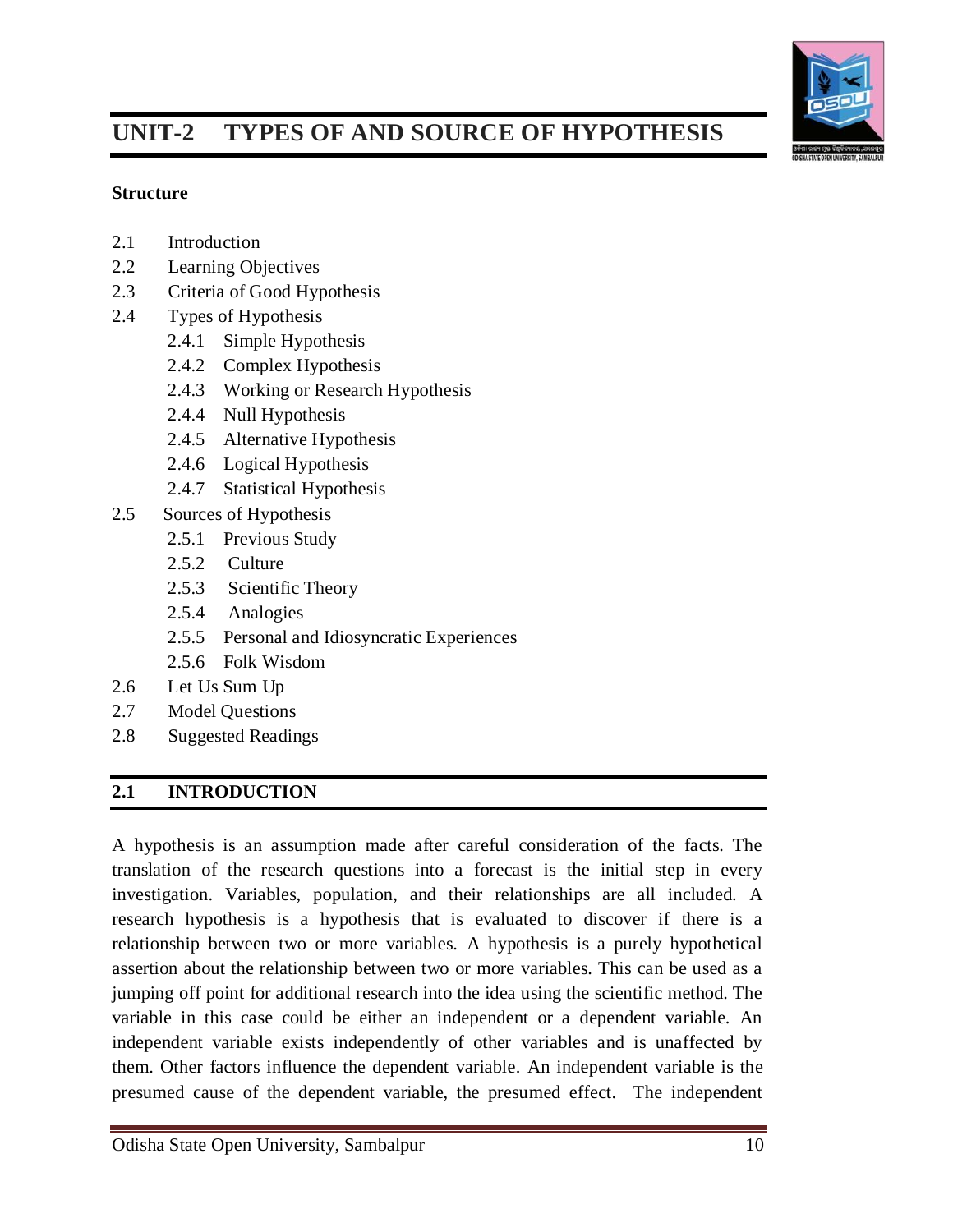

listed in sampling frame on small pieces of paper and placing these papers in some vessels/jar. Third step is mixing all papers well and taking out one piece of paper from jar.

(ii) Tippet's table or random numbers method Tippet has prepared a table of random numbers (of one to five digits each). These numbers are available in various forms, sizes and number of combination of texts.

The advantages of simple random sampling are: all elements have equal chance of being included; it is the simplest of all sampling methods and easiest to conduct; this method can be used in conjunction with other methods in probability sampling; researcher does not need to know the true composition of the population beforehand; degree of sampling error is low; and most statistical textbooks have easy to use tables for drawing a random sample (Black and Champion, 1976). The disadvantages of simple random sampling are: it does not make use of knowledge of population which researcher may have; it produces greater errors in the results than do other sampling methods; and it cannot be used if the researcher wants to break respondents into subgroups or strata for comparison purposes.

- **(b) Stratified random sampling:** This is the form of sampling in which the population is divided into a number of stratas or sub-groups and a sample is drawn from each stratum. Stratified random sampling is a sampling method in which a population is divided into smaller groupings called strata. The members of the group are arranged into groups or strata based on shared qualities or attributes. Stratified random sampling is a sampling technique that involves gathering samples from a population separated into strata. Random samples from stratified groups in proportion to the population are taken using stratified random sampling. The division of the population into homogeneous stratas is based on one or more criteria, e.g., sex, age, class, educational level, family type, religion, occupation and so on. There are two types of stratified sampling: proportionate and disproportionate. The former is one in which the sample unit is proportionate to the size of the sampling unit, while the latter is one in which the sample unit is not related to the units of the target population. The advantage of the stratified random sampling is that sample chosen can represent various groups and patterns of characteristics in the desired proportions. In fact, it can be used for comparing subgroups. One of the disadvantages of this method is that it is somewhat complex method of determining sample.
- **(c) Systematic (Interval) sampling:** This sampling is obtaining a collection of elements by drawing every n<sup>th</sup> person from a pre-determined list of persons. In simple words, it is randomly selecting the first respondents and then every  $n<sup>th</sup>$ person after that, 'n' is a number termed as sampling interval. Systematic sampling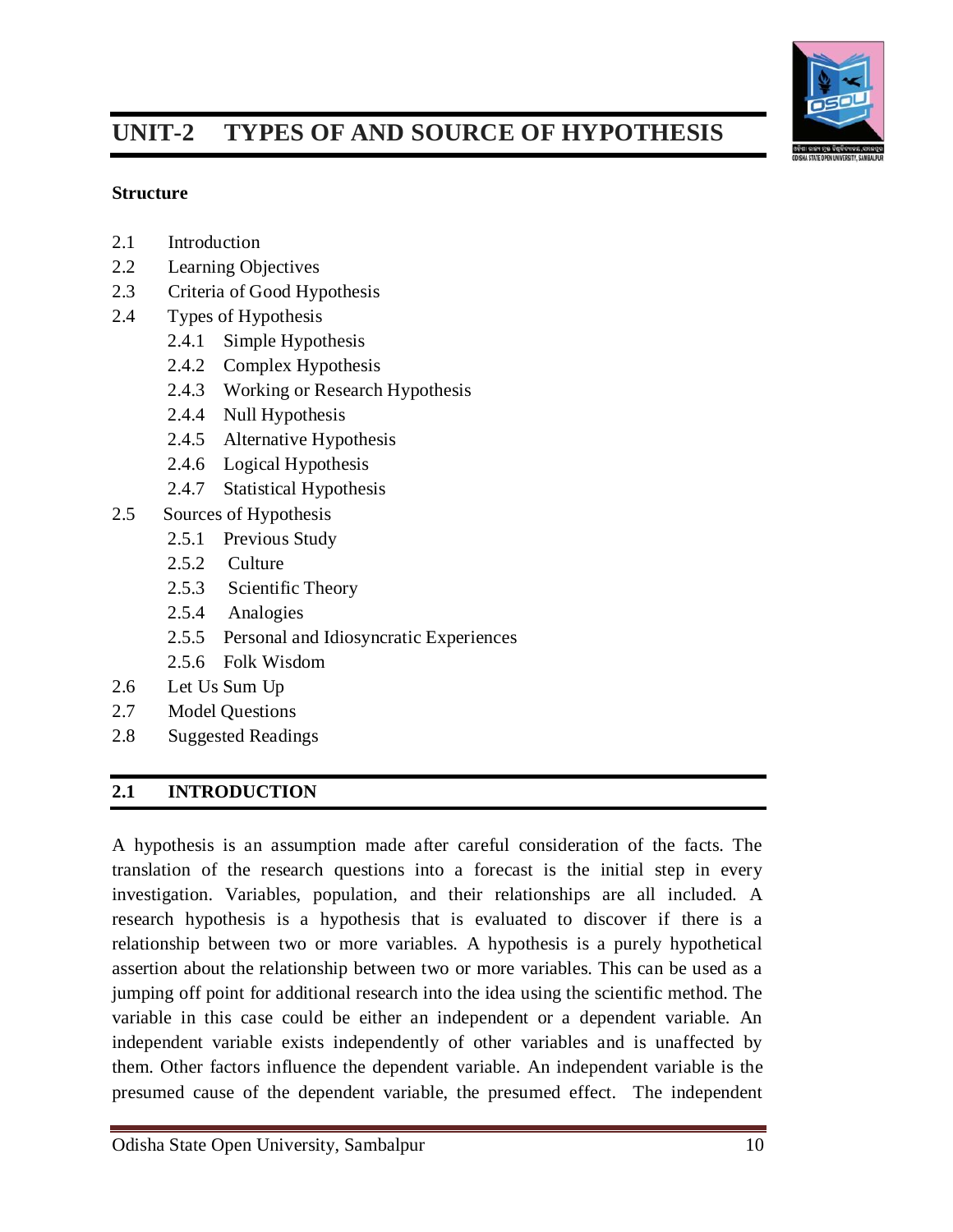

is a sort of probability sampling in which individuals of a bigger population are chosen at random from a larger population but at a fixed, periodic interval. This interval, also known as the sampling interval, is computed by dividing the population size by the sample size desired. The dominant advantage of the systematic sampling is that it is rapid method and eliminates several steps otherwise taken in probability sampling. The disadvantage of this type of sampling is that since each element has no chance of being selected, it is not probability random sampling.

- **(d) Cluster sampling:** This sampling implies dividing population into clusters and drawing random sample either from all clusters or selected clusters. This method is used when (a) cluster criteria are significant for the study and (b) economic considerations are significant. Thus, as mentioned, another sort of sampling is cluster sampling. When there are multiple subgroups of groups in a larger population, this strategy is utilised. Clusters are the names given to these groups. Cluster sampling consists of two steps. To begin, the complete population is chosen and divided into various clusters. The subgroups are then divided into random samples. The second phase entails interviewing a random sample of those stores' customers. The difference between cluster sampling and stratified sampling is that in the former, homogeneous group is classified into heterogeneous units, while in the latter, heterogeneous group is stratified into homogeneous units. The dominant advantage of this sampling is that it is much easier to apply this sample when large populations are studied or when large geographical area is studied. The disadvantage of this sampling is that sampling error may be greater in this type of sampling.
- **(e) Multi-stage sampling:** In this method, sampling is selected in various stages but only the last sample of subjects is studied. Sampling in each stage will be random but it can also be deliberate or purposive. Thus, multi-stage sampling according to Ackoff (1961:102), can be combination of (i) simple+simple sampling, (ii) simple+systematic (interval) sampling, and (iii) systematic+systematic sampling. It is often mentioned that multistage sampling is frequently thought of as a more advanced variation of cluster sampling. In multistage sampling, the population is divided into clusters, and some clusters are chosen in the first stage. You divide those selected clusters into smaller clusters at each successive level, and repeat the procedure until you reach the final phase. Only a few members of each cluster are chosen for your sample in the final stage. The main advantage in this sampling will be that it will be more representative.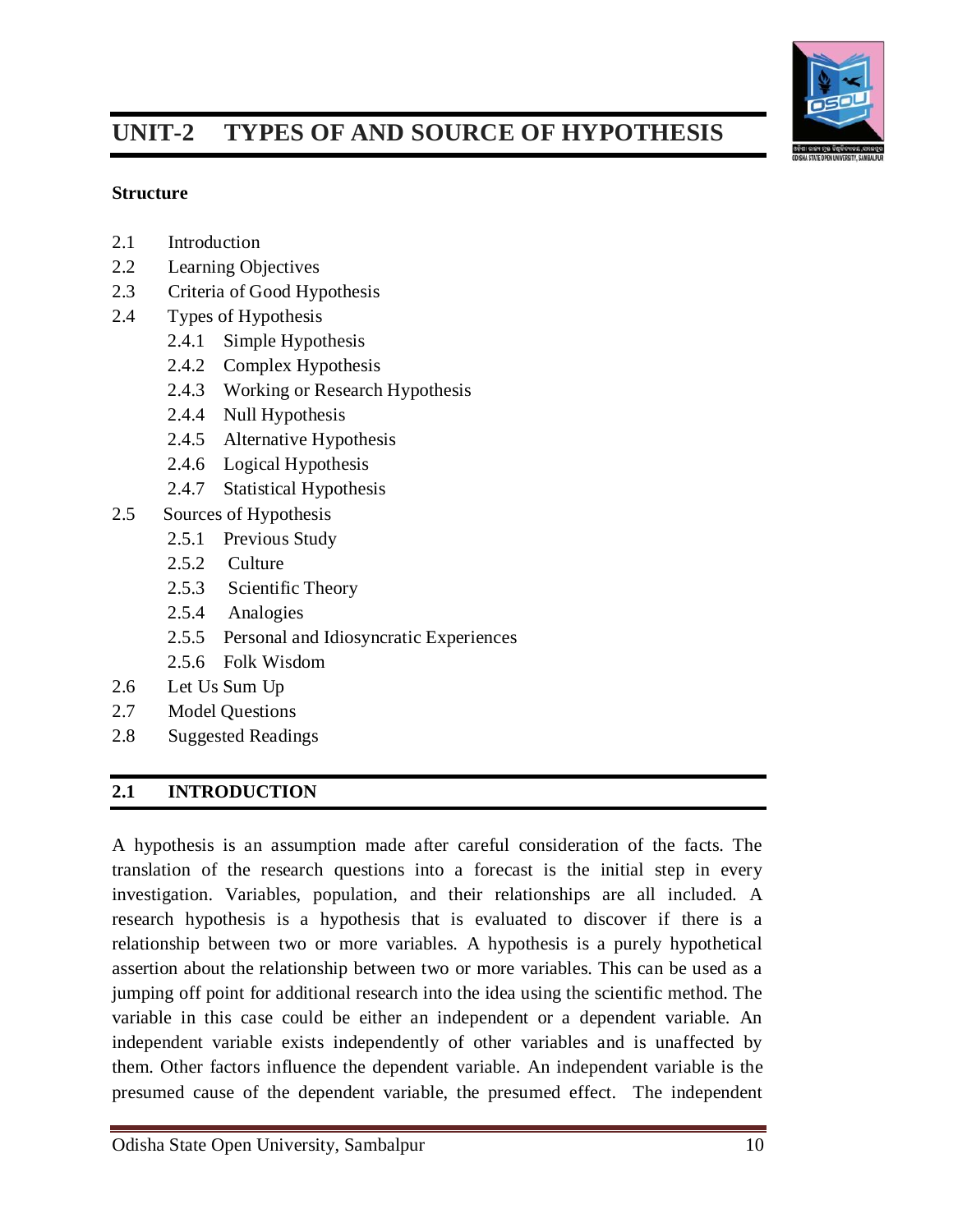

**(f) Multi-phase sampling:** The process in this type of sampling is same as in multistage sampling, i.e., primary selection, secondary selection and so on. However, in a multi-phase sampling procedure, each sample is adequately studied before another sample is drawn from it. Consequently, while in multi-stage sampling, only the final sample is studied, in multi-phase sampling all samples are researched. This offers an advantage over other methods because the information gathered at each phase helps the researchers to choose a more relevant and more representative sample. Thus, multi-phase sampling is a sampling design in which required data is taken from a large sample of units, and additional data is obtained from sub-samples of the entire sample either at the same time or at a later stage.

#### **4.5.2 Non-probability sampling**

In many research situations, particularly those where there is no list of persons to be studied, probability sampling is difficult and inappropriate to use. In such researches, non-probability sampling is the most appropriate one. This sampling method do not employ the rules probability theory, do not claim representativeness, and this is mostly used for qualitative exploratory analysis. There are mainly five types of nonprobability sampling discussed in below:

- **(a) Convenience sampling:** it is generally known as unsystematic, careless, accidental or opportunistic sampling. According to this system a sample is selected according to convenience of the researcher. This convenience may be in respect of availability of the units etc. Although the method is most unscientific, yet quite a large number of samples are selected according to this method. This sampling may be used in anyone or more of the following cases:
	- (i) When the universe is not clearly defined
	- (ii) Sampling unit is not clear
	- (iii) A complete source list is not available

The selection of names from telephone directory, contacting anyone who may chance to be easily available will come under this type of sampling. The dominant advantage of this sampling is that it is very economical. It is best utilized for exploratory research.

**(b) Purposive sampling:** When the researcher deliberately or purposively selects certain units for study from the universe it is known as purposive sampling. It is otherwise known as judgmental sampling. The purposive sample, often known as a judgemental or expert sample is a part of non-probability sample. A purposive sample's principal goal is to generate a sample that may be assumed to be representative of the population. This is frequently accomplished by using expert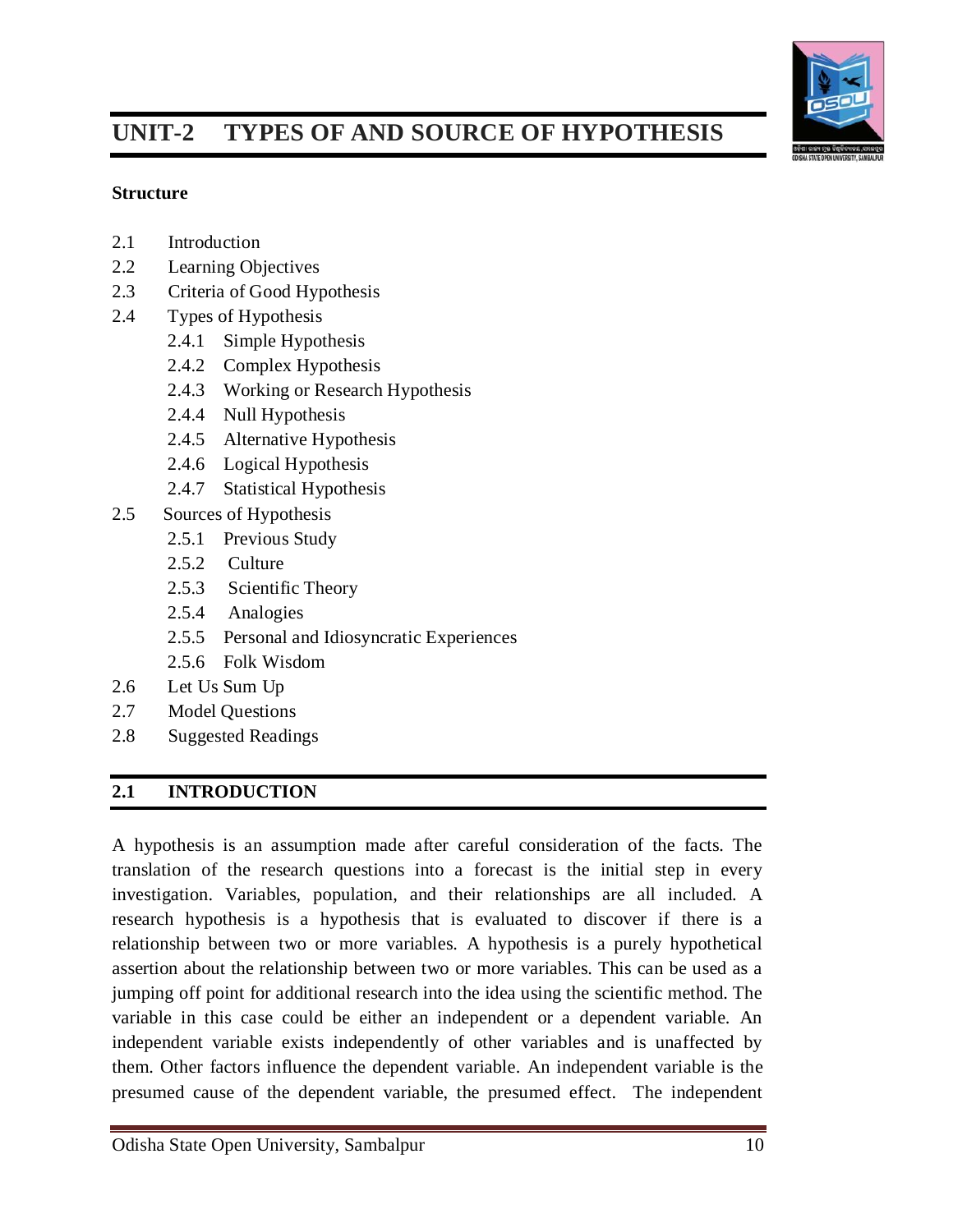

knowledge about the population to select a sample of elements that represents a cross-section of the population in a nonrandom manner. The aim of purposive selection is to gain as representative a sample as possible. In order to achieve the representativeness the selector must possess a complete idea of the nature of universe and various statistical measurements about it. The researcher should also be completely forming any kind of biasness, prejudices about the selection of the universe/sample.

- **(c) Quota sampling:** This is special from of stratified sampling. According to the method the universe is first divided into different stratas. Then the number to be selected from each stratum is decided. This number is known as quota. The researchers are generally asked to select the quota from the stratum according to their will. Quota sampling is a non-probability sampling technique in which researchers create a sample of people who represent a population. These people were chosen by the researchers based on specific characteristics or features. Quota can also be fixed according to their proportion in the entire population. The advantages of quota sampling are: (i) it is less costly than other techniques, (ii) it does not require sampling frames, (iii) it is relatively effective, and (iv) it can be completed in a very short period of time. The disadvantages of this type of sampling are: (i) it is not representative, (ii) it has interviewer's bias in the selection, (iii) estimating sampling error is not possible, and (iv) strict control of field work is difficult.
- (d) **Snowball sampling:** In this technique, the researcher begins the research with the few respondents who are known and available to him. Subsequently, these respondents give other names who meet the criteria of research, who in turn give more new names. This process is continued until 'adequate' numbers of persons are interviewed or until no more respondents are discovered. Snowball sampling, also known as chain-referral sampling, is a non-probability sampling approach in which the samples have hard-to-find characteristics. This is a technique for recruiting samples for a research project in which existing individuals refer new subjects. Reduced samples sizes and costs are a clear advantage of snowball sampling.
- (e) **Volunteer sampling:** This is the technique in which the respondent himself volunteers to give information he hold. The cost of selection of these samples is very low. The degree of use of these also biasness in the selection of sample which is a major disadvantage of this sampling method. Thus, volunteer sampling or a voluntary response sample is a sort of sample made up of people who opted to participate on their own. These individuals volunteer to take part in various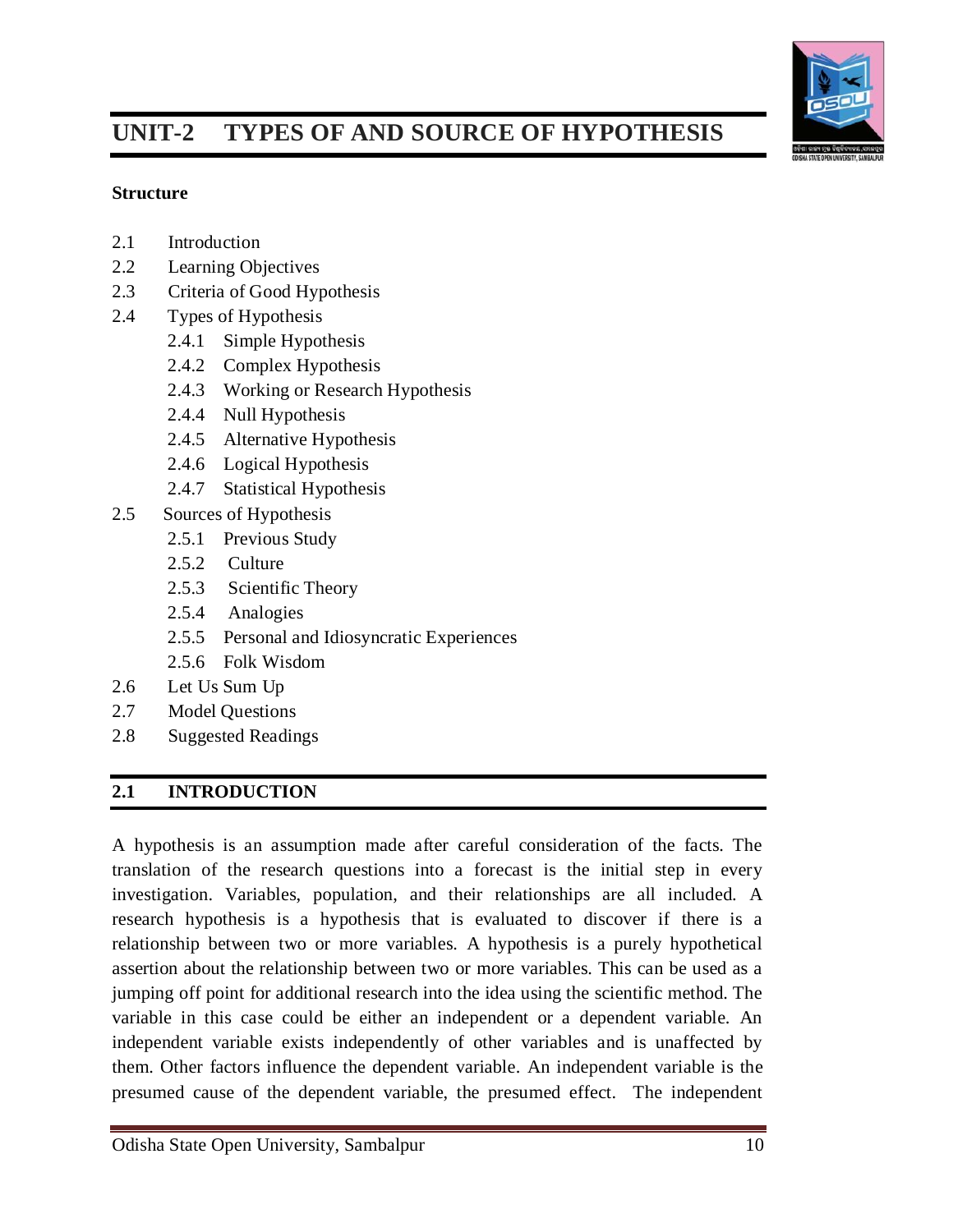

research studies in order to express their thoughts on topics that they are interested in.

#### **4.6 LET US SUM UP**

The use of sampling methods has been very old in social research. Since the time, there has been constant improvement in the sampling technique, methods of calculating the probable errors etc. More and more use has been made of the sampling technique in social researches, surveys etc. In fact social research has been possible only through sampling method. Sampling is very imperative in social science research. In this chapter, a detailed discussion on types of sampling has been made. As part of probability sampling, the focus has been given (i) simple random sampling, (ii) stratified random sampling, (iii) systematic (or interval) sampling, (iv) cluster sampling, (v) multi-stage sampling, and (vi) multi-phase sampling have been discussed. As part of the non-probability sampling, discussion has been made on (i) convenience sampling, (ii) purposive sampling, (iii) quota sampling, (iv) snowball sampling, and (v) volunteer sampling.

## **4.7 MODEL QUESTIONS**

Some of the questions for practice have been mentioned in the following sections.

#### **Long questions**

- 1. Describe procures adopted behind selecting sample.
- 2. Explain factors affecting size of the sample.
- 3. Critically explicate with examples different types of sampling.
- 4. Explain the types of probability sampling.
- 5. Explain the types of non-probability sampling.

#### **Short questions**

- 1. Procedures behind selecting sample
- 2. Factors affecting size of the sample
- 3. Probability sampling
- 4. Non-probability sampling

#### **4.8 SUGGESTED READINGS**

 Ary, D., Jacobs, L. C., Razavieh, A. and Sorensen, C. K. (1972). *Introduction to Research in Education*. New York: Holt, Rinehart and Winstion, Inc.